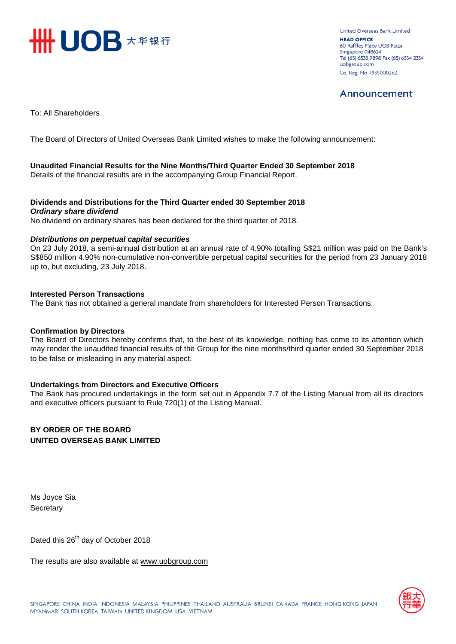

**United Overseas Bank Limited HEAD OFFICE** 80 Raffles Place UOB Plaza Singapore 048624 Tel (65) 6533 9898 Fax (65) 6534 2334 uobgroup.com Co. Reg. No. 193500026Z

## Announcement

To: All Shareholders

The Board of Directors of United Overseas Bank Limited wishes to make the following announcement:

### **Unaudited Financial Results for the Nine Months/Third Quarter Ended 30 September 2018**

Details of the financial results are in the accompanying Group Financial Report.

### **Dividends and Distributions for the Third Quarter ended 30 September 2018**  *Ordinary share dividend*

No dividend on ordinary shares has been declared for the third quarter of 2018.

### *Distributions on perpetual capital securities*

On 23 July 2018, a semi-annual distribution at an annual rate of 4.90% totalling S\$21 million was paid on the Bank's S\$850 million 4.90% non-cumulative non-convertible perpetual capital securities for the period from 23 January 2018 up to, but excluding, 23 July 2018.

### **Interested Person Transactions**

The Bank has not obtained a general mandate from shareholders for Interested Person Transactions.

### **Confirmation by Directors**

The Board of Directors hereby confirms that, to the best of its knowledge, nothing has come to its attention which may render the unaudited financial results of the Group for the nine months/third quarter ended 30 September 2018 to be false or misleading in any material aspect.

### **Undertakings from Directors and Executive Officers**

The Bank has procured undertakings in the form set out in Appendix 7.7 of the Listing Manual from all its directors and executive officers pursuant to Rule 720(1) of the Listing Manual.

### **BY ORDER OF THE BOARD UNITED OVERSEAS BANK LIMITED**

Ms Joyce Sia **Secretary** 

Dated this 26<sup>th</sup> day of October 2018

The results are also available at www.uob[group.com](http://www.uobgroup.com/)

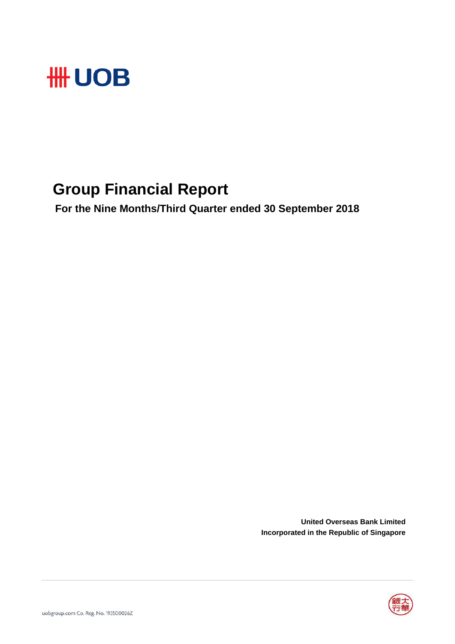

# **Group Financial Report**

 **For the Nine Months/Third Quarter ended 30 September 2018**

**United Overseas Bank Limited Incorporated in the Republic of Singapore**

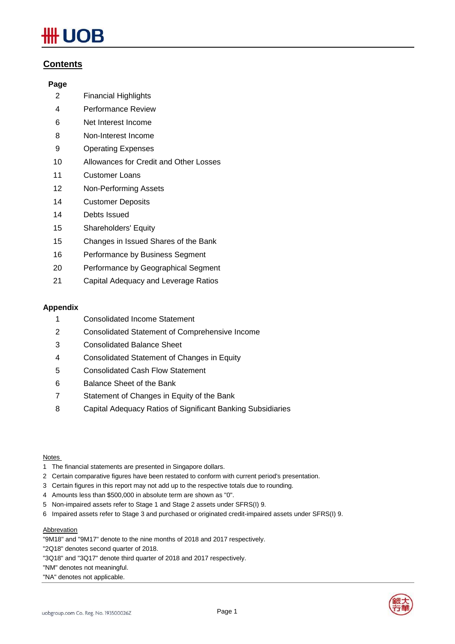# JOB

### **Contents**

### **Page**

- 2 Financial Highlights
- 4 Performance Review
- 6 Net Interest Income
- 8 Non-Interest Income
- 9 Operating Expenses
- 10 Allowances for Credit and Other Losses
- 11 Customer Loans
- 12 Non-Performing Assets
- 14 Customer Deposits
- 14 Debts Issued
- 15 Shareholders' Equity
- 15 Changes in Issued Shares of the Bank
- 16 Performance by Business Segment
- 20 Performance by Geographical Segment
- 21 Capital Adequacy and Leverage Ratios

### **Appendix**

- 1 Consolidated Income Statement
- 2 Consolidated Statement of Comprehensive Income
- 3 Consolidated Balance Sheet
- 4 Consolidated Statement of Changes in Equity
- 5 Consolidated Cash Flow Statement
- 6 Balance Sheet of the Bank
- 7 Statement of Changes in Equity of the Bank
- 8 Capital Adequacy Ratios of Significant Banking Subsidiaries

### Notes

- 1 The financial statements are presented in Singapore dollars.
- 2 Certain comparative figures have been restated to conform with current period's presentation.
- 3 Certain figures in this report may not add up to the respective totals due to rounding.
- 4 Amounts less than \$500,000 in absolute term are shown as "0".
- 5 Non-impaired assets refer to Stage 1 and Stage 2 assets under SFRS(I) 9.
- 6 Impaired assets refer to Stage 3 and purchased or originated credit-impaired assets under SFRS(I) 9.

### **Abbrevation**

"9M18" and "9M17" denote to the nine months of 2018 and 2017 respectively.

"2Q18" denotes second quarter of 2018.

"3Q18" and "3Q17" denote third quarter of 2018 and 2017 respectively.

"NM" denotes not meaningful.

"NA" denotes not applicable.

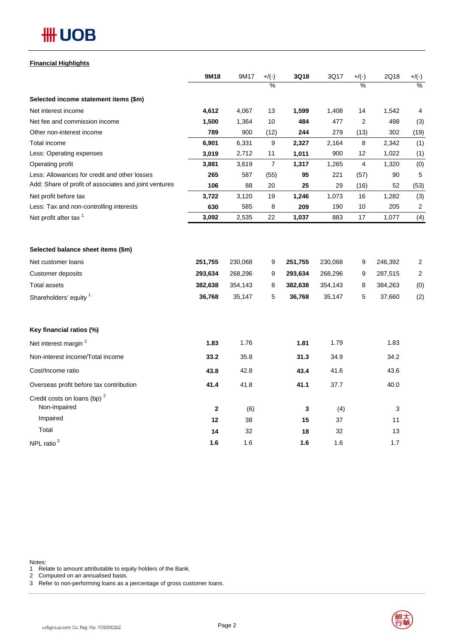# **HH UOB**

### **Financial Highlights**

|                                                       | 9M18        | 9M17    | $+/(-)$          | 3Q18    | 3Q17    | $+/(-)$ | 2Q18    | $+/(-)$          |
|-------------------------------------------------------|-------------|---------|------------------|---------|---------|---------|---------|------------------|
|                                                       |             |         | $\frac{0}{2}$    |         |         | ℅       |         | $\frac{0}{0}$    |
| Selected income statement items (\$m)                 |             |         |                  |         |         |         |         |                  |
| Net interest income                                   | 4,612       | 4,067   | 13               | 1,599   | 1,408   | 14      | 1,542   | 4                |
| Net fee and commission income                         | 1,500       | 1,364   | 10               | 484     | 477     | 2       | 498     | (3)              |
| Other non-interest income                             | 789         | 900     | (12)             | 244     | 279     | (13)    | 302     | (19)             |
| Total income                                          | 6,901       | 6,331   | $\boldsymbol{9}$ | 2,327   | 2,164   | 8       | 2,342   | (1)              |
| Less: Operating expenses                              | 3,019       | 2,712   | 11               | 1,011   | 900     | 12      | 1,022   | (1)              |
| Operating profit                                      | 3,881       | 3,619   | $\overline{7}$   | 1,317   | 1,265   | 4       | 1,320   | (0)              |
| Less: Allowances for credit and other losses          | 265         | 587     | (55)             | 95      | 221     | (57)    | 90      | 5                |
| Add: Share of profit of associates and joint ventures | 106         | 88      | 20               | 25      | 29      | (16)    | 52      | (53)             |
| Net profit before tax                                 | 3,722       | 3,120   | 19               | 1,246   | 1,073   | 16      | 1,282   | (3)              |
| Less: Tax and non-controlling interests               | 630         | 585     | 8                | 209     | 190     | 10      | 205     | $\boldsymbol{2}$ |
| Net profit after tax <sup>1</sup>                     | 3,092       | 2,535   | 22               | 1,037   | 883     | 17      | 1,077   | (4)              |
| Selected balance sheet items (\$m)                    |             |         |                  |         |         |         |         |                  |
| Net customer loans                                    | 251,755     | 230,068 | 9                | 251,755 | 230,068 | 9       | 246,392 | 2                |
| Customer deposits                                     | 293,634     | 268,296 | 9                | 293,634 | 268,296 | 9       | 287,515 | $\overline{2}$   |
| <b>Total assets</b>                                   | 382,638     | 354,143 | 8                | 382,638 | 354,143 | 8       | 384,263 | (0)              |
| Shareholders' equity <sup>1</sup>                     | 36,768      | 35,147  | 5                | 36,768  | 35,147  | 5       | 37,660  | (2)              |
| Key financial ratios (%)                              |             |         |                  |         |         |         |         |                  |
| Net interest margin <sup>2</sup>                      | 1.83        | 1.76    |                  | 1.81    | 1.79    |         | 1.83    |                  |
| Non-interest income/Total income                      | 33.2        | 35.8    |                  | 31.3    | 34.9    |         | 34.2    |                  |
| Cost/Income ratio                                     | 43.8        | 42.8    |                  | 43.4    | 41.6    |         | 43.6    |                  |
| Overseas profit before tax contribution               | 41.4        | 41.8    |                  | 41.1    | 37.7    |         | 40.0    |                  |
| Credit costs on loans (bp) $2$<br>Non-impaired        | $\mathbf 2$ | (6)     |                  | 3       | (4)     |         | 3       |                  |
| Impaired                                              | 12          | 38      |                  | 15      | 37      |         | 11      |                  |
| Total                                                 | 14          | 32      |                  | 18      | 32      |         | 13      |                  |
| NPL ratio $3$                                         | 1.6         | 1.6     |                  | 1.6     | 1.6     |         | 1.7     |                  |

Notes:

1 Relate to amount attributable to equity holders of the Bank.

2 Computed on an annualised basis.

3 Refer to non-performing loans as a percentage of gross customer loans.

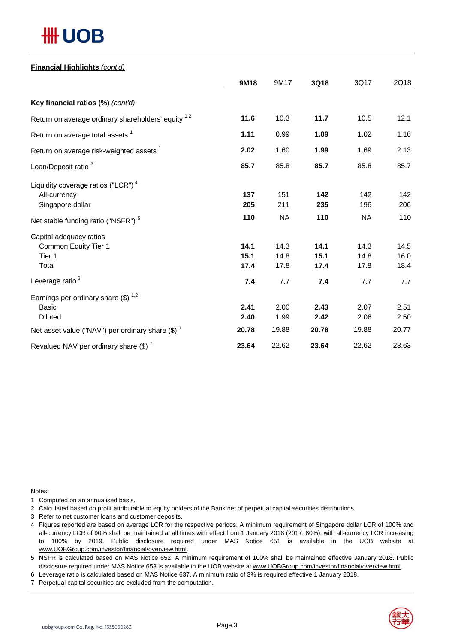# *HH UOB*

### **Financial Highlights** *(cont'd)*

|                                                                | 9M18  | 9M17      | 3Q18  | 3Q17      | 2Q18  |
|----------------------------------------------------------------|-------|-----------|-------|-----------|-------|
| Key financial ratios (%) (cont'd)                              |       |           |       |           |       |
| Return on average ordinary shareholders' equity <sup>1,2</sup> | 11.6  | 10.3      | 11.7  | 10.5      | 12.1  |
| Return on average total assets <sup>1</sup>                    | 1.11  | 0.99      | 1.09  | 1.02      | 1.16  |
| Return on average risk-weighted assets <sup>1</sup>            | 2.02  | 1.60      | 1.99  | 1.69      | 2.13  |
| Loan/Deposit ratio <sup>3</sup>                                | 85.7  | 85.8      | 85.7  | 85.8      | 85.7  |
| Liquidity coverage ratios ("LCR") <sup>4</sup><br>All-currency | 137   | 151       | 142   | 142       | 142   |
| Singapore dollar                                               | 205   | 211       | 235   | 196       | 206   |
| Net stable funding ratio ("NSFR") <sup>5</sup>                 | 110   | <b>NA</b> | 110   | <b>NA</b> | 110   |
| Capital adequacy ratios                                        |       |           |       |           |       |
| Common Equity Tier 1                                           | 14.1  | 14.3      | 14.1  | 14.3      | 14.5  |
| Tier 1                                                         | 15.1  | 14.8      | 15.1  | 14.8      | 16.0  |
| Total                                                          | 17.4  | 17.8      | 17.4  | 17.8      | 18.4  |
| Leverage ratio <sup>6</sup>                                    | 7.4   | 7.7       | 7.4   | 7.7       | 7.7   |
| Earnings per ordinary share $(\$)^{1,2}$                       |       |           |       |           |       |
| <b>Basic</b>                                                   | 2.41  | 2.00      | 2.43  | 2.07      | 2.51  |
| <b>Diluted</b>                                                 | 2.40  | 1.99      | 2.42  | 2.06      | 2.50  |
| Net asset value ("NAV") per ordinary share $(\$)$ <sup>7</sup> | 20.78 | 19.88     | 20.78 | 19.88     | 20.77 |
| Revalued NAV per ordinary share (\$) <sup>7</sup>              | 23.64 | 22.62     | 23.64 | 22.62     | 23.63 |

Notes:

1 Computed on an annualised basis.

2 Calculated based on profit attributable to equity holders of the Bank net of perpetual capital securities distributions.

- 3 Refer to net customer loans and customer deposits.
- 4 Figures reported are based on average LCR for the respective periods. A minimum requirement of Singapore dollar LCR of 100% and all-currency LCR of 90% shall be maintained at all times with effect from 1 January 2018 (2017: 80%), with all-currency LCR increasing to 100% by 2019. Public disclosure required under MAS Notice 651 is available in the UOB website at www.UOBGroup.com/investor/financial/overview.html.
- 5 NSFR is calculated based on MAS Notice 652. A minimum requirement of 100% shall be maintained effective January 2018. Public disclosure required under MAS Notice 653 is available in the UOB website at www.UOBGroup.com/investor/financial/overview.html.
- 6 Leverage ratio is calculated based on MAS Notice 637. A minimum ratio of 3% is required effective 1 January 2018.
- 7 Perpetual capital securities are excluded from the computation.

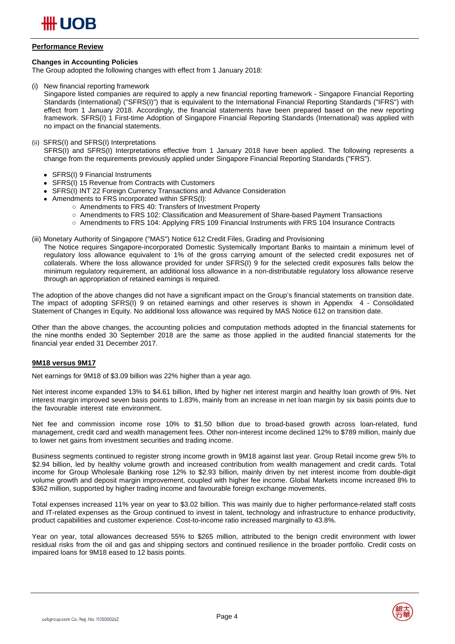

### **Performance Review**

### **Changes in Accounting Policies**

The Group adopted the following changes with effect from 1 January 2018:

(i) New financial reporting framework

Singapore listed companies are required to apply a new financial reporting framework - Singapore Financial Reporting Standards (International) ("SFRS(I)") that is equivalent to the International Financial Reporting Standards ("IFRS") with effect from 1 January 2018. Accordingly, the financial statements have been prepared based on the new reporting framework. SFRS(I) 1 First-time Adoption of Singapore Financial Reporting Standards (International) was applied with no impact on the financial statements.

### (ii) SFRS(I) and SFRS(I) Interpretations

SFRS(I) and SFRS(I) Interpretations effective from 1 January 2018 have been applied. The following represents a change from the requirements previously applied under Singapore Financial Reporting Standards ("FRS").

- SFRS(I) 9 Financial Instruments
- SFRS(I) 15 Revenue from Contracts with Customers
- SFRS(I) INT 22 Foreign Currency Transactions and Advance Consideration
- Amendments to FRS incorporated within SFRS(I):
	- Amendments to FRS 40: Transfers of Investment Property
	- Amendments to FRS 102: Classification and Measurement of Share-based Payment Transactions
	- Amendments to FRS 104: Applying FRS 109 Financial Instruments with FRS 104 Insurance Contracts
- (iii) Monetary Authority of Singapore ("MAS") Notice 612 Credit Files, Grading and Provisioning
	- The Notice requires Singapore-incorporated Domestic Systemically Important Banks to maintain a minimum level of regulatory loss allowance equivalent to 1% of the gross carrying amount of the selected credit exposures net of collaterals. Where the loss allowance provided for under SFRS(I) 9 for the selected credit exposures falls below the minimum regulatory requirement, an additional loss allowance in a non-distributable regulatory loss allowance reserve through an appropriation of retained earnings is required.

The adoption of the above changes did not have a significant impact on the Group's financial statements on transition date. The impact of adopting SFRS(I) 9 on retained earnings and other reserves is shown in Appendix 4 - Consolidated Statement of Changes in Equity. No additional loss allowance was required by MAS Notice 612 on transition date.

Other than the above changes, the accounting policies and computation methods adopted in the financial statements for the nine months ended 30 September 2018 are the same as those applied in the audited financial statements for the financial year ended 31 December 2017.

### **9M18 versus 9M17**

Net earnings for 9M18 of \$3.09 billion was 22% higher than a year ago.

Net interest income expanded 13% to \$4.61 billion, lifted by higher net interest margin and healthy loan growth of 9%. Net interest margin improved seven basis points to 1.83%, mainly from an increase in net loan margin by six basis points due to the favourable interest rate environment.

Net fee and commission income rose 10% to \$1.50 billion due to broad-based growth across loan-related, fund management, credit card and wealth management fees. Other non-interest income declined 12% to \$789 million, mainly due to lower net gains from investment securities and trading income.

Business segments continued to register strong income growth in 9M18 against last year. Group Retail income grew 5% to \$2.94 billion, led by healthy volume growth and increased contribution from wealth management and credit cards. Total income for Group Wholesale Banking rose 12% to \$2.93 billion, mainly driven by net interest income from double-digit volume growth and deposit margin improvement, coupled with higher fee income. Global Markets income increased 8% to \$362 million, supported by higher trading income and favourable foreign exchange movements.

Total expenses increased 11% year on year to \$3.02 billion. This was mainly due to higher performance-related staff costs and IT-related expenses as the Group continued to invest in talent, technology and infrastructure to enhance productivity, product capabilities and customer experience. Cost-to-income ratio increased marginally to 43.8%.

Year on year, total allowances decreased 55% to \$265 million, attributed to the benign credit environment with lower residual risks from the oil and gas and shipping sectors and continued resilience in the broader portfolio. Credit costs on impaired loans for 9M18 eased to 12 basis points.

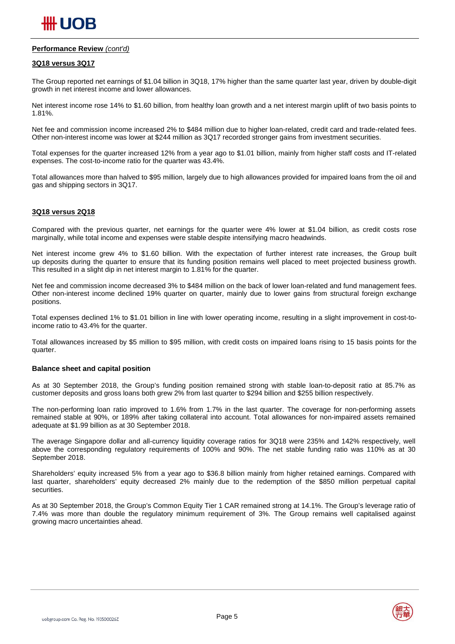

### **Performance Review** *(cont'd)*

### **3Q18 versus 3Q17**

The Group reported net earnings of \$1.04 billion in 3Q18, 17% higher than the same quarter last year, driven by double-digit growth in net interest income and lower allowances.

Net interest income rose 14% to \$1.60 billion, from healthy loan growth and a net interest margin uplift of two basis points to 1.81%.

Net fee and commission income increased 2% to \$484 million due to higher loan-related, credit card and trade-related fees. Other non-interest income was lower at \$244 million as 3Q17 recorded stronger gains from investment securities.

Total expenses for the quarter increased 12% from a year ago to \$1.01 billion, mainly from higher staff costs and IT-related expenses. The cost-to-income ratio for the quarter was 43.4%.

Total allowances more than halved to \$95 million, largely due to high allowances provided for impaired loans from the oil and gas and shipping sectors in 3Q17.

### **3Q18 versus 2Q18**

Compared with the previous quarter, net earnings for the quarter were 4% lower at \$1.04 billion, as credit costs rose marginally, while total income and expenses were stable despite intensifying macro headwinds.

Net interest income grew 4% to \$1.60 billion. With the expectation of further interest rate increases, the Group built up deposits during the quarter to ensure that its funding position remains well placed to meet projected business growth. This resulted in a slight dip in net interest margin to 1.81% for the quarter.

Net fee and commission income decreased 3% to \$484 million on the back of lower loan-related and fund management fees. Other non-interest income declined 19% quarter on quarter, mainly due to lower gains from structural foreign exchange positions.

Total expenses declined 1% to \$1.01 billion in line with lower operating income, resulting in a slight improvement in cost-toincome ratio to 43.4% for the quarter.

Total allowances increased by \$5 million to \$95 million, with credit costs on impaired loans rising to 15 basis points for the quarter.

#### **Balance sheet and capital position**

As at 30 September 2018, the Group's funding position remained strong with stable loan-to-deposit ratio at 85.7% as customer deposits and gross loans both grew 2% from last quarter to \$294 billion and \$255 billion respectively.

The non-performing loan ratio improved to 1.6% from 1.7% in the last quarter. The coverage for non-performing assets remained stable at 90%, or 189% after taking collateral into account. Total allowances for non-impaired assets remained adequate at \$1.99 billion as at 30 September 2018.

The average Singapore dollar and all-currency liquidity coverage ratios for 3Q18 were 235% and 142% respectively, well above the corresponding regulatory requirements of 100% and 90%. The net stable funding ratio was 110% as at 30 September 2018.

Shareholders' equity increased 5% from a year ago to \$36.8 billion mainly from higher retained earnings. Compared with last quarter, shareholders' equity decreased 2% mainly due to the redemption of the \$850 million perpetual capital securities.

As at 30 September 2018, the Group's Common Equity Tier 1 CAR remained strong at 14.1%. The Group's leverage ratio of 7.4% was more than double the regulatory minimum requirement of 3%. The Group remains well capitalised against growing macro uncertainties ahead.





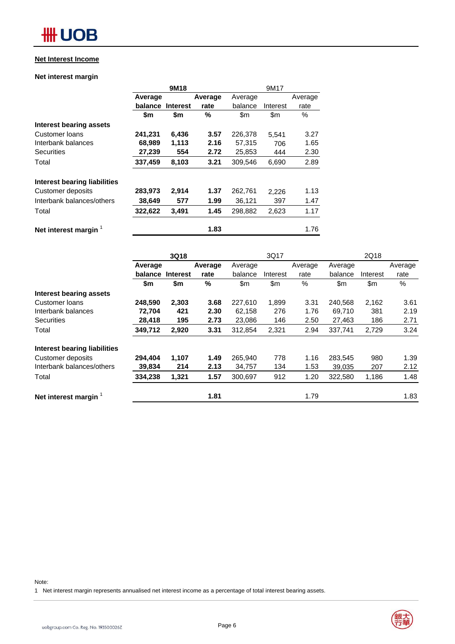### **Net Interest Income**

### **Net interest margin**

|                              |         | 9M18            |         | 9M17    |          |         |
|------------------------------|---------|-----------------|---------|---------|----------|---------|
|                              | Average |                 | Average | Average |          | Average |
|                              | balance | <b>Interest</b> | rate    | balance | Interest | rate    |
|                              | \$m     | \$m             | %       | \$m     | \$m      | $\%$    |
| Interest bearing assets      |         |                 |         |         |          |         |
| Customer loans               | 241,231 | 6,436           | 3.57    | 226,378 | 5,541    | 3.27    |
| Interbank balances           | 68,989  | 1.113           | 2.16    | 57,315  | 706      | 1.65    |
| <b>Securities</b>            | 27,239  | 554             | 2.72    | 25,853  | 444      | 2.30    |
| Total                        | 337,459 | 8,103           | 3.21    | 309,546 | 6,690    | 2.89    |
| Interest bearing liabilities |         |                 |         |         |          |         |
| Customer deposits            | 283,973 | 2,914           | 1.37    | 262,761 | 2,226    | 1.13    |
| Interbank balances/others    | 38,649  | 577             | 1.99    | 36,121  | 397      | 1.47    |
| Total                        | 322,622 | 3,491           | 1.45    | 298.882 | 2,623    | 1.17    |
| Net interest margin          |         |                 | 1.83    |         |          | 1.76    |

|                                  |         | 3Q18            |         |         | 3Q17     |         |         | 2Q18     |         |
|----------------------------------|---------|-----------------|---------|---------|----------|---------|---------|----------|---------|
|                                  | Average |                 | Average | Average |          | Average | Average |          | Average |
|                                  | balance | <b>Interest</b> | rate    | balance | Interest | rate    | balance | Interest | rate    |
|                                  | \$m     | \$m             | %       | \$m     | \$m      | %       | \$m\$   | \$m      | %       |
| Interest bearing assets          |         |                 |         |         |          |         |         |          |         |
| Customer loans                   | 248,590 | 2,303           | 3.68    | 227.610 | 1,899    | 3.31    | 240,568 | 2,162    | 3.61    |
| Interbank balances               | 72,704  | 421             | 2.30    | 62,158  | 276      | 1.76    | 69,710  | 381      | 2.19    |
| <b>Securities</b>                | 28,418  | 195             | 2.73    | 23,086  | 146      | 2.50    | 27,463  | 186      | 2.71    |
| Total                            | 349,712 | 2,920           | 3.31    | 312.854 | 2,321    | 2.94    | 337,741 | 2,729    | 3.24    |
| Interest bearing liabilities     |         |                 |         |         |          |         |         |          |         |
| Customer deposits                | 294,404 | 1,107           | 1.49    | 265,940 | 778      | 1.16    | 283,545 | 980      | 1.39    |
| Interbank balances/others        | 39,834  | 214             | 2.13    | 34,757  | 134      | 1.53    | 39,035  | 207      | 2.12    |
| Total                            | 334,238 | 1,321           | 1.57    | 300,697 | 912      | 1.20    | 322,580 | 1,186    | 1.48    |
| Net interest margin <sup>1</sup> |         |                 | 1.81    |         |          | 1.79    |         |          | 1.83    |

Note:

1 Net interest margin represents annualised net interest income as a percentage of total interest bearing assets.

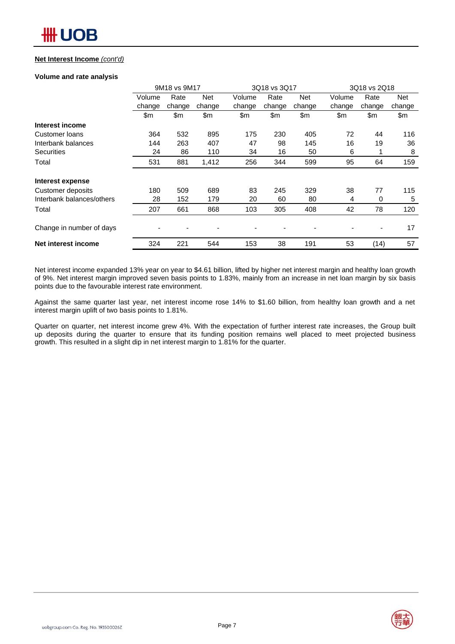### **Net Interest Income** *(cont'd)*

### **Volume and rate analysis**

|                           |        | 9M18 vs 9M17 |            |        | 3Q18 vs 3Q17 |            |        | 3Q18 vs 2Q18 |        |  |
|---------------------------|--------|--------------|------------|--------|--------------|------------|--------|--------------|--------|--|
|                           | Volume | Rate         | <b>Net</b> | Volume | Rate         | <b>Net</b> | Volume | Rate         | Net    |  |
|                           | change | change       | change     | change | change       | change     | change | change       | change |  |
|                           | \$m    | \$m          | \$m        | \$m\$  | \$m          | \$m        | \$m    | \$m          | \$m    |  |
| Interest income           |        |              |            |        |              |            |        |              |        |  |
| Customer loans            | 364    | 532          | 895        | 175    | 230          | 405        | 72     | 44           | 116    |  |
| Interbank balances        | 144    | 263          | 407        | 47     | 98           | 145        | 16     | 19           | 36     |  |
| <b>Securities</b>         | 24     | 86           | 110        | 34     | 16           | 50         | 6      |              | 8      |  |
| Total                     | 531    | 881          | 1,412      | 256    | 344          | 599        | 95     | 64           | 159    |  |
| Interest expense          |        |              |            |        |              |            |        |              |        |  |
| Customer deposits         | 180    | 509          | 689        | 83     | 245          | 329        | 38     | 77           | 115    |  |
| Interbank balances/others | 28     | 152          | 179        | 20     | 60           | 80         | 4      | 0            | 5      |  |
| Total                     | 207    | 661          | 868        | 103    | 305          | 408        | 42     | 78           | 120    |  |
| Change in number of days  |        |              |            |        |              |            |        | -            | 17     |  |
| Net interest income       | 324    | 221          | 544        | 153    | 38           | 191        | 53     | (14)         | 57     |  |

Net interest income expanded 13% year on year to \$4.61 billion, lifted by higher net interest margin and healthy loan growth of 9%. Net interest margin improved seven basis points to 1.83%, mainly from an increase in net loan margin by six basis points due to the favourable interest rate environment.

Against the same quarter last year, net interest income rose 14% to \$1.60 billion, from healthy loan growth and a net interest margin uplift of two basis points to 1.81%.

Quarter on quarter, net interest income grew 4%. With the expectation of further interest rate increases, the Group built up deposits during the quarter to ensure that its funding position remains well placed to meet projected business growth. This resulted in a slight dip in net interest margin to 1.81% for the quarter.

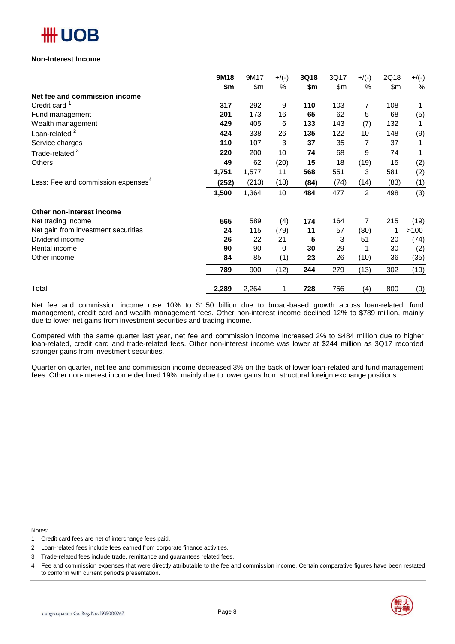

### **Non-Interest Income**

|                                                | 9M18  | 9M17  | $+$ /(-) | 3Q18 | 3Q17 | $+/(-)$ | 2Q18 | $+$ /(-) |
|------------------------------------------------|-------|-------|----------|------|------|---------|------|----------|
|                                                | \$m   | \$m   | %        | \$m  | \$m  | %       | \$m  | $\%$     |
| Net fee and commission income                  |       |       |          |      |      |         |      |          |
| Credit card <sup>1</sup>                       | 317   | 292   | 9        | 110  | 103  | 7       | 108  |          |
| Fund management                                | 201   | 173   | 16       | 65   | 62   | 5       | 68   | (5)      |
| Wealth management                              | 429   | 405   | 6        | 133  | 143  | (7)     | 132  |          |
| Loan-related <sup>2</sup>                      | 424   | 338   | 26       | 135  | 122  | 10      | 148  | (9)      |
| Service charges                                | 110   | 107   | 3        | 37   | 35   | 7       | 37   | 1        |
| Trade-related <sup>3</sup>                     | 220   | 200   | 10       | 74   | 68   | 9       | 74   |          |
| <b>Others</b>                                  | 49    | 62    | (20)     | 15   | 18   | (19)    | 15   | (2)      |
|                                                | 1,751 | 1,577 | 11       | 568  | 551  | 3       | 581  | (2)      |
| Less: Fee and commission expenses <sup>4</sup> | (252) | (213) | (18)     | (84) | (74) | (14)    | (83) | (1)      |
|                                                | 1,500 | 1,364 | 10       | 484  | 477  | 2       | 498  | (3)      |
| Other non-interest income                      |       |       |          |      |      |         |      |          |
| Net trading income                             | 565   | 589   | (4)      | 174  | 164  | 7       | 215  | (19)     |
| Net gain from investment securities            | 24    | 115   | (79)     | 11   | 57   | (80)    | 1    | >100     |
| Dividend income                                | 26    | 22    | 21       | 5    | 3    | 51      | 20   | (74)     |
| Rental income                                  | 90    | 90    | $\Omega$ | 30   | 29   |         | 30   | (2)      |
| Other income                                   | 84    | 85    | (1)      | 23   | 26   | (10)    | 36   | (35)     |
|                                                | 789   | 900   | (12)     | 244  | 279  | (13)    | 302  | (19)     |
| Total                                          | 2,289 | 2,264 | 1        | 728  | 756  | (4)     | 800  | (9)      |

Net fee and commission income rose 10% to \$1.50 billion due to broad-based growth across loan-related, fund management, credit card and wealth management fees. Other non-interest income declined 12% to \$789 million, mainly due to lower net gains from investment securities and trading income.

Compared with the same quarter last year, net fee and commission income increased 2% to \$484 million due to higher loan-related, credit card and trade-related fees. Other non-interest income was lower at \$244 million as 3Q17 recorded stronger gains from investment securities.

Quarter on quarter, net fee and commission income decreased 3% on the back of lower loan-related and fund management fees. Other non-interest income declined 19%, mainly due to lower gains from structural foreign exchange positions.

Notes:

- 1 Credit card fees are net of interchange fees paid.
- 2 Loan-related fees include fees earned from corporate finance activities.
- 3 Trade-related fees include trade, remittance and guarantees related fees.
- 4 Fee and commission expenses that were directly attributable to the fee and commission income. Certain comparative figures have been restated to conform with current period's presentation.

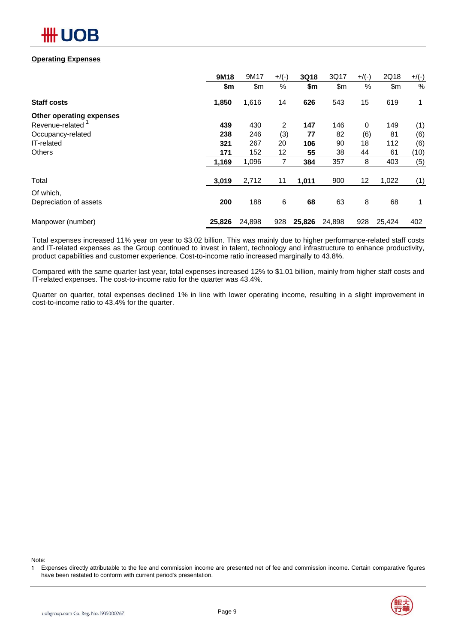

### **Operating Expenses**

|                          | 9M18   | 9M17   | $+$ /(-) | 3Q18   | 3Q17   | $+$ /(-)    | 2Q18   | $+$ /(-) |
|--------------------------|--------|--------|----------|--------|--------|-------------|--------|----------|
|                          | \$m    | \$m    | %        | \$m    | \$m    | %           | \$m\$  | $\%$     |
| <b>Staff costs</b>       | 1,850  | 1,616  | 14       | 626    | 543    | 15          | 619    | 1        |
| Other operating expenses |        |        |          |        |        |             |        |          |
| Revenue-related          | 439    | 430    | 2        | 147    | 146    | $\mathbf 0$ | 149    | (1)      |
| Occupancy-related        | 238    | 246    | (3)      | 77     | 82     | (6)         | 81     | (6)      |
| IT-related               | 321    | 267    | 20       | 106    | 90     | 18          | 112    | (6)      |
| <b>Others</b>            | 171    | 152    | 12       | 55     | 38     | 44          | 61     | (10)     |
|                          | 1,169  | 1,096  | 7        | 384    | 357    | 8           | 403    | (5)      |
| Total                    | 3,019  | 2,712  | 11       | 1,011  | 900    | 12          | 1,022  | (1)      |
| Of which,                |        |        |          |        |        |             |        |          |
| Depreciation of assets   | 200    | 188    | 6        | 68     | 63     | 8           | 68     | 1        |
| Manpower (number)        | 25,826 | 24,898 | 928      | 25,826 | 24,898 | 928         | 25,424 | 402      |

Total expenses increased 11% year on year to \$3.02 billion. This was mainly due to higher performance-related staff costs and IT-related expenses as the Group continued to invest in talent, technology and infrastructure to enhance productivity, product capabilities and customer experience. Cost-to-income ratio increased marginally to 43.8%.

Compared with the same quarter last year, total expenses increased 12% to \$1.01 billion, mainly from higher staff costs and IT-related expenses. The cost-to-income ratio for the quarter was 43.4%.

Quarter on quarter, total expenses declined 1% in line with lower operating income, resulting in a slight improvement in cost-to-income ratio to 43.4% for the quarter.

Note:

<sup>1</sup> Expenses directly attributable to the fee and commission income are presented net of fee and commission income. Certain comparative figures have been restated to conform with current period's presentation.

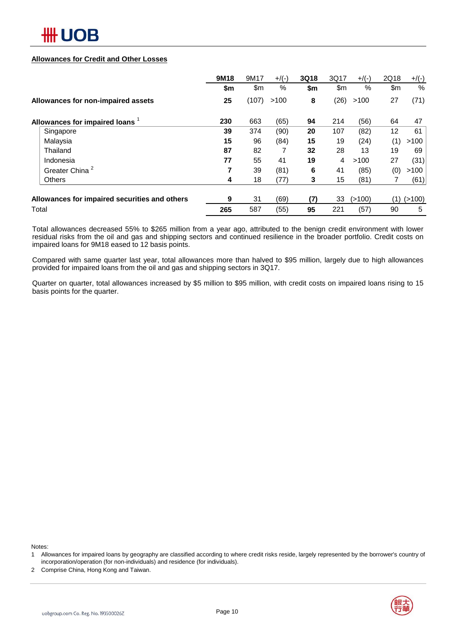

### **Allowances for Credit and Other Losses**

|                                               | 9M18 | 9M17  | $+/(-)$ | 3Q18 | 3Q17 | $+/(-)$ | 2Q18 | $+$ /(-) |
|-----------------------------------------------|------|-------|---------|------|------|---------|------|----------|
|                                               | \$m  | \$m   | %       | \$m  | \$m  | %       | \$m  | %        |
| Allowances for non-impaired assets            | 25   | (107) | >100    | 8    | (26) | >100    | 27   | (71)     |
| Allowances for impaired loans 1               | 230  | 663   | (65)    | 94   | 214  | (56)    | 64   | 47       |
| Singapore                                     | 39   | 374   | (90)    | 20   | 107  | (82)    | 12   | 61       |
| Malaysia                                      | 15   | 96    | (84)    | 15   | 19   | (24)    | (1)  | >100     |
| Thailand                                      | 87   | 82    |         | 32   | 28   | 13      | 19   | 69       |
| Indonesia                                     | 77   | 55    | 41      | 19   | 4    | >100    | 27   | (31)     |
| Greater China                                 |      | 39    | (81)    | 6    | 41   | (85)    | (0)  | >100     |
| <b>Others</b>                                 | 4    | 18    | (77)    | 3    | 15   | (81)    |      | (61)     |
| Allowances for impaired securities and others | 9    | 31    | (69)    | (7)  | 33   | (>100)  | (1)  | (>100)   |
| Total                                         | 265  | 587   | (55)    | 95   | 221  | (57)    | 90   | 5        |

Total allowances decreased 55% to \$265 million from a year ago, attributed to the benign credit environment with lower residual risks from the oil and gas and shipping sectors and continued resilience in the broader portfolio. Credit costs on impaired loans for 9M18 eased to 12 basis points.

Compared with same quarter last year, total allowances more than halved to \$95 million, largely due to high allowances provided for impaired loans from the oil and gas and shipping sectors in 3Q17.

Quarter on quarter, total allowances increased by \$5 million to \$95 million, with credit costs on impaired loans rising to 15 basis points for the quarter.

Notes:



<sup>1</sup> Allowances for impaired loans by geography are classified according to where credit risks reside, largely represented by the borrower's country of incorporation/operation (for non-individuals) and residence (for individuals).

<sup>2</sup> Comprise China, Hong Kong and Taiwan.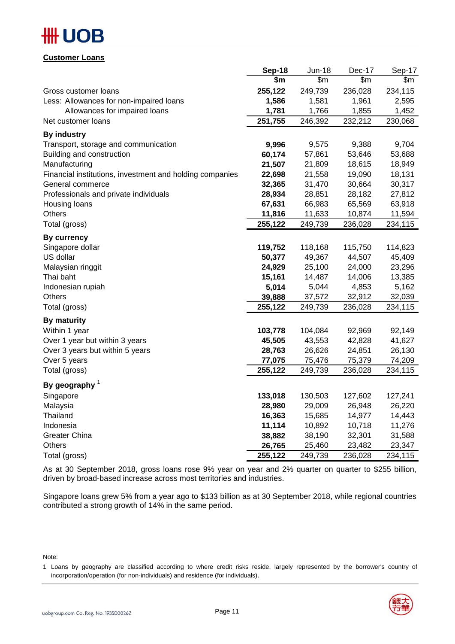# )R

### **Customer Loans**

|                                                          | Sep-18  | <b>Jun-18</b> | Dec-17  | Sep-17  |
|----------------------------------------------------------|---------|---------------|---------|---------|
|                                                          | \$m     | \$m\$         | \$m\$   | \$m\$   |
| Gross customer loans                                     | 255,122 | 249,739       | 236,028 | 234,115 |
| Less: Allowances for non-impaired loans                  | 1,586   | 1,581         | 1,961   | 2,595   |
| Allowances for impaired loans                            | 1,781   | 1,766         | 1,855   | 1,452   |
| Net customer loans                                       | 251,755 | 246,392       | 232,212 | 230,068 |
| <b>By industry</b>                                       |         |               |         |         |
| Transport, storage and communication                     | 9,996   | 9,575         | 9,388   | 9,704   |
| Building and construction                                | 60,174  | 57,861        | 53,646  | 53,688  |
| Manufacturing                                            | 21,507  | 21,809        | 18,615  | 18,949  |
| Financial institutions, investment and holding companies | 22,698  | 21,558        | 19,090  | 18,131  |
| General commerce                                         | 32,365  | 31,470        | 30,664  | 30,317  |
| Professionals and private individuals                    | 28,934  | 28,851        | 28,182  | 27,812  |
| Housing loans                                            | 67,631  | 66,983        | 65,569  | 63,918  |
| Others                                                   | 11,816  | 11,633        | 10,874  | 11,594  |
| Total (gross)                                            | 255,122 | 249,739       | 236,028 | 234,115 |
| <b>By currency</b>                                       |         |               |         |         |
| Singapore dollar                                         | 119,752 | 118,168       | 115,750 | 114,823 |
| US dollar                                                | 50,377  | 49,367        | 44,507  | 45,409  |
| Malaysian ringgit                                        | 24,929  | 25,100        | 24,000  | 23,296  |
| Thai baht                                                | 15,161  | 14,487        | 14,006  | 13,385  |
| Indonesian rupiah                                        | 5,014   | 5,044         | 4,853   | 5,162   |
| <b>Others</b>                                            | 39,888  | 37,572        | 32,912  | 32,039  |
| Total (gross)                                            | 255,122 | 249,739       | 236,028 | 234,115 |
| <b>By maturity</b>                                       |         |               |         |         |
| Within 1 year                                            | 103,778 | 104,084       | 92,969  | 92,149  |
| Over 1 year but within 3 years                           | 45,505  | 43,553        | 42,828  | 41,627  |
| Over 3 years but within 5 years                          | 28,763  | 26,626        | 24,851  | 26,130  |
| Over 5 years                                             | 77,075  | 75,476        | 75,379  | 74,209  |
| Total (gross)                                            | 255,122 | 249,739       | 236,028 | 234,115 |
| By geography $1$                                         |         |               |         |         |
| Singapore                                                | 133,018 | 130,503       | 127,602 | 127,241 |
| Malaysia                                                 | 28,980  | 29,009        | 26,948  | 26,220  |
| Thailand                                                 | 16,363  | 15,685        | 14,977  | 14,443  |
| Indonesia                                                | 11,114  | 10,892        | 10,718  | 11,276  |
| <b>Greater China</b>                                     | 38,882  | 38,190        | 32,301  | 31,588  |
| <b>Others</b>                                            | 26,765  | 25,460        | 23,482  | 23,347  |
| Total (gross)                                            | 255,122 | 249,739       | 236,028 | 234,115 |
|                                                          |         |               |         |         |

As at 30 September 2018, gross loans rose 9% year on year and 2% quarter on quarter to \$255 billion, driven by broad-based increase across most territories and industries.

Singapore loans grew 5% from a year ago to \$133 billion as at 30 September 2018, while regional countries contributed a strong growth of 14% in the same period.

Note:

<sup>1</sup> Loans by geography are classified according to where credit risks reside, largely represented by the borrower's country of incorporation/operation (for non-individuals) and residence (for individuals).

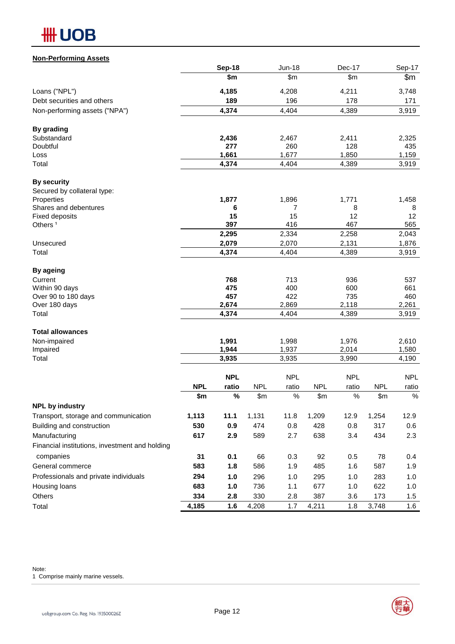# **HH UOB**

| <b>Non-Performing Assets</b>                   |                   |                |                     |                |                     |                |                     |                |
|------------------------------------------------|-------------------|----------------|---------------------|----------------|---------------------|----------------|---------------------|----------------|
|                                                |                   | <b>Sep-18</b>  |                     | <b>Jun-18</b>  |                     | Dec-17         |                     | Sep-17         |
|                                                |                   | \$m            |                     | \$m\$          |                     | \$m\$          |                     | \$m            |
| Loans ("NPL")                                  |                   | 4,185          |                     | 4,208          |                     | 4,211          |                     | 3,748          |
| Debt securities and others                     |                   | 189            |                     | 196            |                     | 178            |                     | 171            |
| Non-performing assets ("NPA")                  |                   | 4,374          |                     | 4,404          |                     | 4,389          |                     | 3,919          |
| By grading                                     |                   |                |                     |                |                     |                |                     |                |
| Substandard                                    |                   | 2,436          |                     | 2,467          |                     | 2,411          |                     | 2,325          |
| Doubtful                                       |                   | 277            |                     | 260            |                     | 128            |                     | 435            |
| Loss                                           |                   | 1,661          |                     | 1,677          |                     | 1,850          |                     | 1,159          |
| Total                                          |                   | 4,374          |                     | 4,404          |                     | 4,389          |                     | 3,919          |
| <b>By security</b>                             |                   |                |                     |                |                     |                |                     |                |
| Secured by collateral type:                    |                   |                |                     |                |                     |                |                     |                |
| Properties<br>Shares and debentures            |                   | 1,877<br>6     |                     | 1,896<br>7     |                     | 1,771<br>8     |                     | 1,458<br>8     |
| <b>Fixed deposits</b>                          |                   | 15             |                     | 15             |                     | 12             |                     | 12             |
| Others <sup>1</sup>                            |                   | 397            |                     | 416            |                     | 467            |                     | 565            |
|                                                |                   | 2,295          |                     | 2,334          |                     | 2,258          |                     | 2,043          |
| Unsecured                                      |                   | 2,079          |                     | 2,070          |                     | 2,131          |                     | 1,876          |
| Total                                          |                   | 4,374          |                     | 4,404          |                     | 4,389          |                     | 3,919          |
| <b>By ageing</b>                               |                   |                |                     |                |                     |                |                     |                |
| Current                                        |                   | 768            |                     | 713            |                     | 936            |                     | 537            |
| Within 90 days                                 |                   | 475            |                     | 400            |                     | 600            |                     | 661            |
| Over 90 to 180 days                            |                   | 457            |                     | 422            |                     | 735            |                     | 460            |
| Over 180 days<br>Total                         |                   | 2,674<br>4,374 |                     | 2,869<br>4,404 |                     | 2,118<br>4,389 |                     | 2,261<br>3,919 |
|                                                |                   |                |                     |                |                     |                |                     |                |
| <b>Total allowances</b>                        |                   |                |                     |                |                     |                |                     |                |
| Non-impaired                                   |                   | 1,991          |                     | 1,998          |                     | 1,976          |                     | 2,610          |
| Impaired<br>Total                              |                   | 1,944<br>3,935 |                     | 1,937<br>3,935 |                     | 2,014<br>3,990 |                     | 1,580<br>4,190 |
|                                                |                   |                |                     |                |                     |                |                     |                |
|                                                |                   | <b>NPL</b>     |                     | <b>NPL</b>     |                     | <b>NPL</b>     |                     | <b>NPL</b>     |
|                                                | <b>NPL</b><br>\$m | ratio<br>$\%$  | <b>NPL</b><br>\$m\$ | ratio<br>%     | <b>NPL</b><br>\$m\$ | ratio<br>$\%$  | <b>NPL</b><br>\$m\$ | ratio<br>$\%$  |
| <b>NPL by industry</b>                         |                   |                |                     |                |                     |                |                     |                |
| Transport, storage and communication           | 1,113             | 11.1           | 1,131               | 11.8           | 1,209               | 12.9           | 1,254               | 12.9           |
| Building and construction                      | 530               | 0.9            | 474                 | 0.8            | 428                 | 0.8            | 317                 | 0.6            |
| Manufacturing                                  | 617               | 2.9            | 589                 | 2.7            | 638                 | 3.4            | 434                 | 2.3            |
| Financial institutions, investment and holding |                   |                |                     |                |                     |                |                     |                |
| companies                                      | 31                | 0.1            | 66                  | 0.3            | 92                  | 0.5            | 78                  | 0.4            |
| General commerce                               | 583               | 1.8            | 586                 | 1.9            | 485                 | 1.6            | 587                 | 1.9            |
| Professionals and private individuals          | 294               | 1.0            | 296                 | 1.0            | 295                 | 1.0            | 283                 | 1.0            |
| Housing loans                                  | 683               | 1.0            | 736                 | 1.1            | 677                 | 1.0            | 622                 | 1.0            |
| Others                                         | 334               | 2.8            | 330                 | 2.8            | 387                 | 3.6            | 173                 | 1.5            |
| Total                                          | 4,185             | 1.6            | 4,208               | 1.7            | 4,211               | 1.8            | 3,748               | 1.6            |

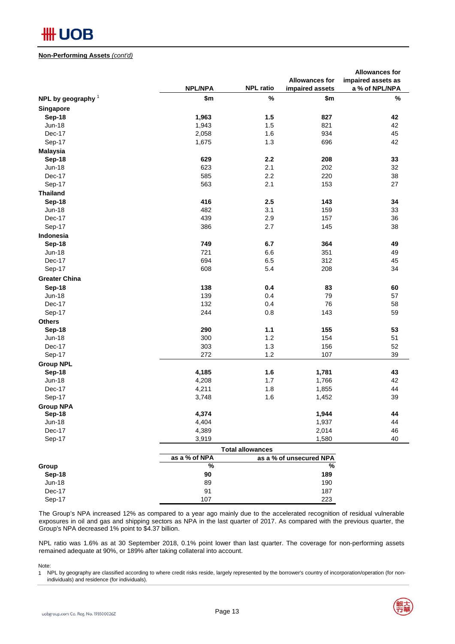

### **Non-Performing Assets** *(cont'd)*

|                               |                |                         |                         | <b>Allowances for</b> |
|-------------------------------|----------------|-------------------------|-------------------------|-----------------------|
|                               |                |                         | <b>Allowances for</b>   | impaired assets as    |
|                               | <b>NPL/NPA</b> | <b>NPL ratio</b>        | impaired assets         | a % of NPL/NPA        |
| NPL by geography <sup>1</sup> | \$m            | $\%$                    | \$m                     | $\%$                  |
| Singapore                     |                |                         |                         |                       |
| Sep-18                        | 1,963          | 1.5                     | 827                     | 42                    |
| <b>Jun-18</b>                 | 1,943          | 1.5                     | 821                     | 42                    |
| Dec-17                        | 2,058          | 1.6                     | 934                     | 45                    |
| Sep-17                        | 1,675          | 1.3                     | 696                     | 42                    |
| <b>Malaysia</b>               |                |                         |                         |                       |
| Sep-18                        | 629            | 2.2                     | 208                     | 33                    |
| <b>Jun-18</b>                 | 623            | 2.1                     | 202                     | 32                    |
| Dec-17                        | 585            | 2.2                     | 220                     | 38                    |
| Sep-17                        | 563            | 2.1                     | 153                     | 27                    |
| <b>Thailand</b>               |                |                         |                         |                       |
| Sep-18                        | 416            | 2.5                     | 143                     | 34                    |
| <b>Jun-18</b>                 | 482            | 3.1                     | 159                     | 33                    |
| Dec-17                        | 439            | 2.9                     | 157                     | 36                    |
|                               | 386            | 2.7                     | 145                     | 38                    |
| Sep-17                        |                |                         |                         |                       |
| Indonesia                     |                |                         |                         |                       |
| Sep-18                        | 749            | 6.7                     | 364                     | 49                    |
| <b>Jun-18</b>                 | 721            | 6.6                     | 351                     | 49                    |
| Dec-17                        | 694            | 6.5                     | 312                     | 45                    |
| Sep-17                        | 608            | 5.4                     | 208                     | 34                    |
| <b>Greater China</b>          |                |                         |                         |                       |
| Sep-18                        | 138            | 0.4                     | 83                      | 60                    |
| <b>Jun-18</b>                 | 139            | 0.4                     | 79                      | 57                    |
| Dec-17                        | 132            | 0.4                     | 76                      | 58                    |
| Sep-17                        | 244            | 0.8                     | 143                     | 59                    |
| <b>Others</b>                 |                |                         |                         |                       |
| Sep-18                        | 290            | $1.1$                   | 155                     | 53                    |
| <b>Jun-18</b>                 | 300            | 1.2                     | 154                     | 51                    |
| Dec-17                        | 303            | $1.3$                   | 156                     | 52                    |
| Sep-17                        | 272            | 1.2                     | 107                     | 39                    |
| <b>Group NPL</b>              |                |                         |                         |                       |
| Sep-18                        | 4,185          | 1.6                     | 1,781                   | 43                    |
| <b>Jun-18</b>                 | 4,208          | $1.7$                   | 1,766                   | 42                    |
| Dec-17                        | 4,211          | 1.8                     | 1,855                   | 44                    |
| Sep-17                        | 3,748          | 1.6                     | 1,452                   | 39                    |
| <b>Group NPA</b>              |                |                         |                         |                       |
| Sep-18                        | 4,374          |                         | 1,944                   | 44                    |
| <b>Jun-18</b>                 | 4,404          |                         | 1,937                   | 44                    |
| Dec-17                        | 4,389          |                         | 2,014                   | 46                    |
| Sep-17                        | 3,919          |                         | 1,580                   | 40                    |
|                               |                |                         |                         |                       |
|                               |                | <b>Total allowances</b> |                         |                       |
|                               | as a % of NPA  |                         | as a % of unsecured NPA |                       |
| Group                         | $\%$           |                         | $\%$                    |                       |
| Sep-18                        | $90\,$         |                         | 189                     |                       |
| <b>Jun-18</b>                 | 89             |                         | 190                     |                       |
| Dec-17                        | 91             |                         | 187                     |                       |
| Sep-17                        | 107            |                         | 223                     |                       |

The Group's NPA increased 12% as compared to a year ago mainly due to the accelerated recognition of residual vulnerable exposures in oil and gas and shipping sectors as NPA in the last quarter of 2017. As compared with the previous quarter, the Group's NPA decreased 1% point to \$4.37 billion.

NPL ratio was 1.6% as at 30 September 2018, 0.1% point lower than last quarter. The coverage for non-performing assets remained adequate at 90%, or 189% after taking collateral into account.

Note:<br>1 N

individuals) and residence (for individuals). NPL by geography are classified according to where credit risks reside, largely represented by the borrower's country of incorporation/operation (for non-

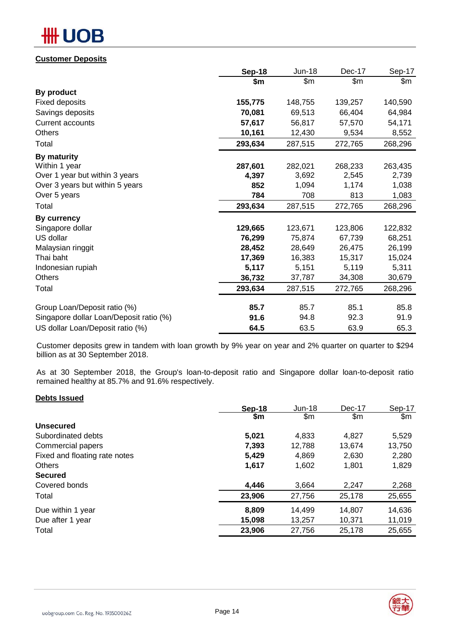# **OB**

### **Customer Deposits**

|                                         | <b>Sep-18</b> | <b>Jun-18</b> | Dec-17  | Sep-17  |
|-----------------------------------------|---------------|---------------|---------|---------|
|                                         | \$m           | \$m           | \$m     | \$m     |
| By product                              |               |               |         |         |
| <b>Fixed deposits</b>                   | 155,775       | 148,755       | 139,257 | 140,590 |
| Savings deposits                        | 70,081        | 69,513        | 66,404  | 64,984  |
| <b>Current accounts</b>                 | 57,617        | 56,817        | 57,570  | 54,171  |
| <b>Others</b>                           | 10,161        | 12,430        | 9,534   | 8,552   |
| Total                                   | 293,634       | 287,515       | 272,765 | 268,296 |
| By maturity                             |               |               |         |         |
| Within 1 year                           | 287,601       | 282,021       | 268,233 | 263,435 |
| Over 1 year but within 3 years          | 4,397         | 3,692         | 2,545   | 2,739   |
| Over 3 years but within 5 years         | 852           | 1,094         | 1,174   | 1,038   |
| Over 5 years                            | 784           | 708           | 813     | 1,083   |
| Total                                   | 293,634       | 287,515       | 272,765 | 268,296 |
| By currency                             |               |               |         |         |
| Singapore dollar                        | 129,665       | 123,671       | 123,806 | 122,832 |
| US dollar                               | 76,299        | 75,874        | 67,739  | 68,251  |
| Malaysian ringgit                       | 28,452        | 28,649        | 26,475  | 26,199  |
| Thai baht                               | 17,369        | 16,383        | 15,317  | 15,024  |
| Indonesian rupiah                       | 5,117         | 5,151         | 5,119   | 5,311   |
| Others                                  | 36,732        | 37,787        | 34,308  | 30,679  |
| Total                                   | 293,634       | 287,515       | 272,765 | 268,296 |
| Group Loan/Deposit ratio (%)            | 85.7          | 85.7          | 85.1    | 85.8    |
| Singapore dollar Loan/Deposit ratio (%) | 91.6          | 94.8          | 92.3    | 91.9    |
| US dollar Loan/Deposit ratio (%)        | 64.5          | 63.5          | 63.9    | 65.3    |

Customer deposits grew in tandem with loan growth by 9% year on year and 2% quarter on quarter to \$294 billion as at 30 September 2018.

As at 30 September 2018, the Group's loan-to-deposit ratio and Singapore dollar loan-to-deposit ratio remained healthy at 85.7% and 91.6% respectively.

### **Debts Issued**

|                               | Sep-18 | $Jun-18$ | Dec-17        | Sep-17        |
|-------------------------------|--------|----------|---------------|---------------|
|                               | \$m    | \$m      | $\mathsf{Sm}$ | $\mathsf{Sm}$ |
| <b>Unsecured</b>              |        |          |               |               |
| Subordinated debts            | 5,021  | 4.833    | 4.827         | 5,529         |
| Commercial papers             | 7,393  | 12,788   | 13,674        | 13,750        |
| Fixed and floating rate notes | 5,429  | 4,869    | 2,630         | 2,280         |
| <b>Others</b>                 | 1,617  | 1,602    | 1,801         | 1,829         |
| <b>Secured</b>                |        |          |               |               |
| Covered bonds                 | 4,446  | 3,664    | 2,247         | 2,268         |
| Total                         | 23,906 | 27,756   | 25,178        | 25,655        |
| Due within 1 year             | 8,809  | 14,499   | 14,807        | 14,636        |
| Due after 1 year              | 15,098 | 13,257   | 10,371        | 11,019        |
| Total                         | 23,906 | 27,756   | 25,178        | 25,655        |

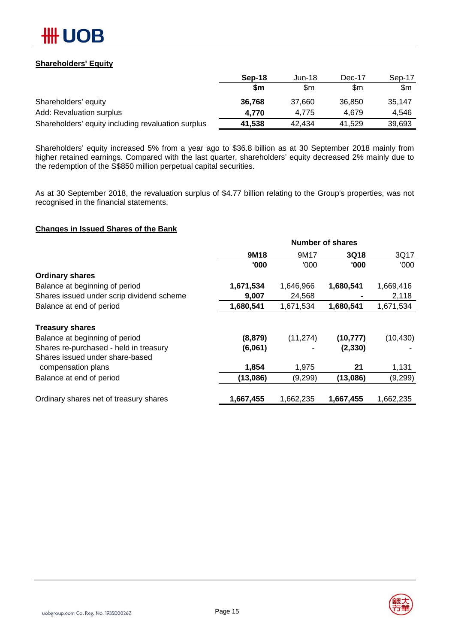

### **Shareholders' Equity**

|                                                    | Sep-18 | Jun-18 | Dec-17 | Sep-17 |
|----------------------------------------------------|--------|--------|--------|--------|
|                                                    | \$m    | \$m    | \$m    | \$m    |
| Shareholders' equity                               | 36.768 | 37.660 | 36,850 | 35.147 |
| Add: Revaluation surplus                           | 4.770  | 4.775  | 4.679  | 4.546  |
| Shareholders' equity including revaluation surplus | 41,538 | 42.434 | 41.529 | 39,693 |

Shareholders' equity increased 5% from a year ago to \$36.8 billion as at 30 September 2018 mainly from higher retained earnings. Compared with the last quarter, shareholders' equity decreased 2% mainly due to the redemption of the S\$850 million perpetual capital securities.

As at 30 September 2018, the revaluation surplus of \$4.77 billion relating to the Group's properties, was not recognised in the financial statements.

### **Changes in Issued Shares of the Bank**

| <b>Number of shares</b> |           |           |           |  |  |
|-------------------------|-----------|-----------|-----------|--|--|
| 9M18                    | 9M17      | 3Q18      | 3Q17      |  |  |
| '000                    | '000      | '000      | '000      |  |  |
|                         |           |           |           |  |  |
| 1,671,534               | 1,646,966 | 1,680,541 | 1,669,416 |  |  |
| 9,007                   | 24,568    |           | 2,118     |  |  |
| 1,680,541               | 1,671,534 | 1,680,541 | 1,671,534 |  |  |
|                         |           |           |           |  |  |
| (8, 879)                | (11, 274) | (10, 777) | (10, 430) |  |  |
| (6,061)                 |           | (2, 330)  |           |  |  |
|                         |           |           |           |  |  |
| 1,854                   | 1,975     | 21        | 1,131     |  |  |
| (13,086)                | (9,299)   | (13,086)  | (9,299)   |  |  |
| 1,667,455               | 1,662,235 | 1,667,455 | 1,662,235 |  |  |
|                         |           |           |           |  |  |

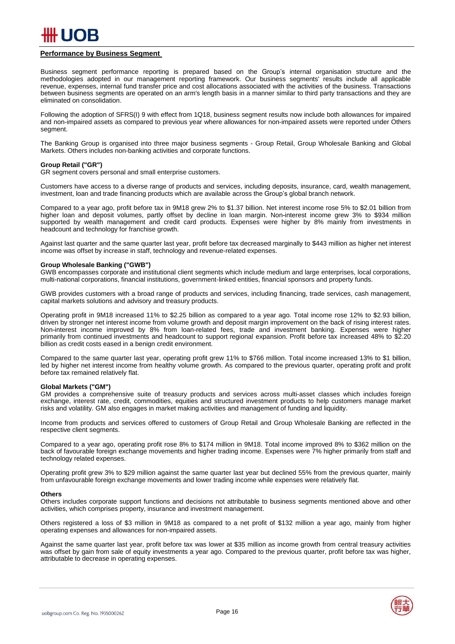

### **Performance by Business Segment**

Business segment performance reporting is prepared based on the Group's internal organisation structure and the methodologies adopted in our management reporting framework. Our business segments' results include all applicable revenue, expenses, internal fund transfer price and cost allocations associated with the activities of the business. Transactions between business segments are operated on an arm's length basis in a manner similar to third party transactions and they are eliminated on consolidation.

Following the adoption of SFRS(I) 9 with effect from 1Q18, business segment results now include both allowances for impaired and non-impaired assets as compared to previous year where allowances for non-impaired assets were reported under Others segment.

The Banking Group is organised into three major business segments - Group Retail, Group Wholesale Banking and Global Markets. Others includes non-banking activities and corporate functions.

#### **Group Retail ("GR")**

GR segment covers personal and small enterprise customers.

Customers have access to a diverse range of products and services, including deposits, insurance, card, wealth management, investment, loan and trade financing products which are available across the Group's global branch network.

Compared to a year ago, profit before tax in 9M18 grew 2% to \$1.37 billion. Net interest income rose 5% to \$2.01 billion from higher loan and deposit volumes, partly offset by decline in loan margin. Non-interest income grew 3% to \$934 million supported by wealth management and credit card products. Expenses were higher by 8% mainly from investments in headcount and technology for franchise growth.

Against last quarter and the same quarter last year, profit before tax decreased marginally to \$443 million as higher net interest income was offset by increase in staff, technology and revenue-related expenses.

#### **Group Wholesale Banking ("GWB")**

GWB encompasses corporate and institutional client segments which include medium and large enterprises, local corporations, multi-national corporations, financial institutions, government-linked entities, financial sponsors and property funds.

GWB provides customers with a broad range of products and services, including financing, trade services, cash management, capital markets solutions and advisory and treasury products.

Operating profit in 9M18 increased 11% to \$2.25 billion as compared to a year ago. Total income rose 12% to \$2.93 billion, driven by stronger net interest income from volume growth and deposit margin improvement on the back of rising interest rates. Non-interest income improved by 8% from loan-related fees, trade and investment banking. Expenses were higher primarily from continued investments and headcount to support regional expansion. Profit before tax increased 48% to \$2.20 billion as credit costs eased in a benign credit environment.

Compared to the same quarter last year, operating profit grew 11% to \$766 million. Total income increased 13% to \$1 billion, led by higher net interest income from healthy volume growth. As compared to the previous quarter, operating profit and profit before tax remained relatively flat.

### **Global Markets ("GM")**

GM provides a comprehensive suite of treasury products and services across multi-asset classes which includes foreign exchange, interest rate, credit, commodities, equities and structured investment products to help customers manage market risks and volatility. GM also engages in market making activities and management of funding and liquidity.

Income from products and services offered to customers of Group Retail and Group Wholesale Banking are reflected in the respective client segments.

Compared to a year ago, operating profit rose 8% to \$174 million in 9M18. Total income improved 8% to \$362 million on the back of favourable foreign exchange movements and higher trading income. Expenses were 7% higher primarily from staff and technology related expenses.

Operating profit grew 3% to \$29 million against the same quarter last year but declined 55% from the previous quarter, mainly from unfavourable foreign exchange movements and lower trading income while expenses were relatively flat.

#### **Others**

Others includes corporate support functions and decisions not attributable to business segments mentioned above and other activities, which comprises property, insurance and investment management.

Others registered a loss of \$3 million in 9M18 as compared to a net profit of \$132 million a year ago, mainly from higher operating expenses and allowances for non-impaired assets.

Against the same quarter last year, profit before tax was lower at \$35 million as income growth from central treasury activities was offset by gain from sale of equity investments a year ago. Compared to the previous quarter, profit before tax was higher, attributable to decrease in operating expenses.

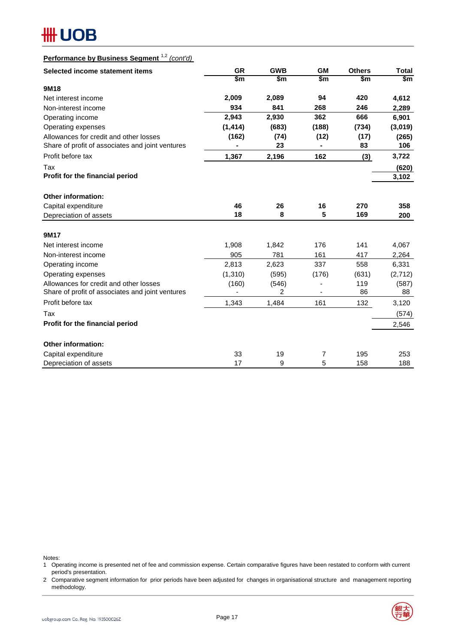# **#H UOB**

| Performance by Business Segment <sup>1,2</sup> (cont'd) |
|---------------------------------------------------------|
|---------------------------------------------------------|

| Selected income statement items                  | <b>GR</b> | <b>GWB</b> | <b>GM</b> | <b>Others</b> | <b>Total</b> |
|--------------------------------------------------|-----------|------------|-----------|---------------|--------------|
|                                                  | \$m       | \$m        | \$m       | \$m           | \$m          |
| 9M18                                             |           |            |           |               |              |
| Net interest income                              | 2,009     | 2,089      | 94        | 420           | 4,612        |
| Non-interest income                              | 934       | 841        | 268       | 246           | 2,289        |
| Operating income                                 | 2,943     | 2,930      | 362       | 666           | 6,901        |
| Operating expenses                               | (1, 414)  | (683)      | (188)     | (734)         | (3,019)      |
| Allowances for credit and other losses           | (162)     | (74)       | (12)      | (17)          | (265)        |
| Share of profit of associates and joint ventures |           | 23         |           | 83            | 106          |
| Profit before tax                                | 1,367     | 2,196      | 162       | (3)           | 3,722        |
| Tax                                              |           |            |           |               | (620)        |
| Profit for the financial period                  |           |            |           |               | 3,102        |
|                                                  |           |            |           |               |              |
| Other information:                               |           |            |           |               |              |
| Capital expenditure                              | 46        | 26         | 16        | 270           | 358          |
| Depreciation of assets                           | 18        | 8          | 5         | 169           | 200          |
|                                                  |           |            |           |               |              |
| 9M17                                             |           |            |           |               |              |
| Net interest income                              | 1,908     | 1,842      | 176       | 141           | 4,067        |
| Non-interest income                              | 905       | 781        | 161       | 417           | 2,264        |
| Operating income                                 | 2,813     | 2,623      | 337       | 558           | 6,331        |
| Operating expenses                               | (1, 310)  | (595)      | (176)     | (631)         | (2,712)      |
| Allowances for credit and other losses           | (160)     | (546)      |           | 119           | (587)        |
| Share of profit of associates and joint ventures |           | 2          |           | 86            | 88           |
| Profit before tax                                | 1,343     | 1,484      | 161       | 132           | 3,120        |
| Tax                                              |           |            |           |               | (574)        |
| Profit for the financial period                  |           |            |           |               | 2,546        |
|                                                  |           |            |           |               |              |
| <b>Other information:</b>                        |           |            |           |               |              |
| Capital expenditure                              | 33        | 19         | 7         | 195           | 253          |
| Depreciation of assets                           | 17        | 9          | 5         | 158           | 188          |

Notes:

1 Operating income is presented net of fee and commission expense. Certain comparative figures have been restated to conform with current period's presentation.

2 Comparative segment information for prior periods have been adjusted for changes in organisational structure and management reporting methodology.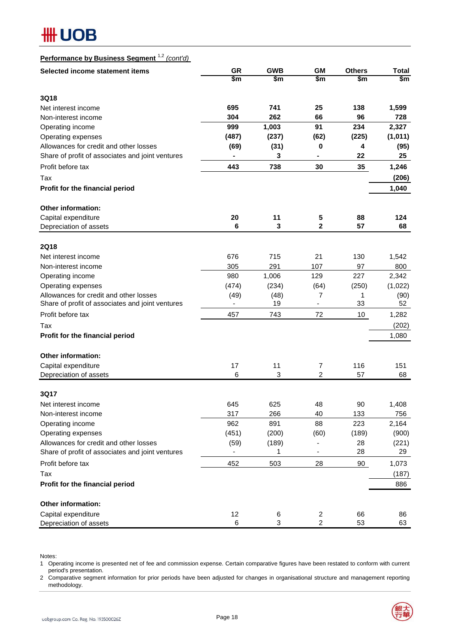# **HH UOB**

## **Performance by Business Segment** 1,2 *(cont'd)*

| Selected income statement items                  | <b>GR</b>      | <b>GWB</b> | <b>GM</b>                | <b>Others</b> | <b>Total</b> |
|--------------------------------------------------|----------------|------------|--------------------------|---------------|--------------|
|                                                  | \$m            | \$m        | \$m                      | \$m           | \$m          |
| 3Q18                                             |                |            |                          |               |              |
| Net interest income                              | 695            | 741        | 25                       | 138           | 1,599        |
| Non-interest income                              | 304            | 262        | 66                       | 96            | 728          |
| Operating income                                 | 999            | 1,003      | 91                       | 234           | 2,327        |
| Operating expenses                               | (487)          | (237)      | (62)                     | (225)         | (1,011)      |
| Allowances for credit and other losses           | (69)           | (31)       | 0                        | 4             | (95)         |
| Share of profit of associates and joint ventures |                | 3          | $\blacksquare$           | 22            | 25           |
| Profit before tax                                | 443            | 738        | 30                       | 35            | 1,246        |
| Tax                                              |                |            |                          |               | (206)        |
| Profit for the financial period                  |                |            |                          |               | 1,040        |
| Other information:                               |                |            |                          |               |              |
| Capital expenditure                              | 20             | 11         | 5                        | 88            | 124          |
| Depreciation of assets                           | 6              | 3          | 2                        | 57            | 68           |
| <b>2Q18</b>                                      |                |            |                          |               |              |
| Net interest income                              | 676            | 715        | 21                       | 130           | 1,542        |
| Non-interest income                              | 305            | 291        | 107                      | 97            | 800          |
| Operating income                                 | 980            | 1,006      | 129                      | 227           | 2,342        |
| Operating expenses                               | (474)          | (234)      | (64)                     | (250)         | (1,022)      |
| Allowances for credit and other losses           | (49)           | (48)       | 7                        | 1             | (90)         |
| Share of profit of associates and joint ventures | ä,             | 19         | $\overline{\phantom{0}}$ | 33            | 52           |
| Profit before tax                                | 457            | 743        | 72                       | 10            | 1,282        |
| Tax                                              |                |            |                          |               | (202)        |
| Profit for the financial period                  |                |            |                          |               | 1,080        |
| <b>Other information:</b>                        |                |            |                          |               |              |
| Capital expenditure                              | 17             | 11         | 7                        | 116           | 151          |
| Depreciation of assets                           | 6              | 3          | $\overline{c}$           | 57            | 68           |
| 3Q17                                             |                |            |                          |               |              |
| Net interest income                              | 645            | 625        | 48                       | 90            | 1,408        |
| Non-interest income                              | 317            | 266        | 40                       | 133           | 756          |
| Operating income                                 | 962            | 891        | 88                       | 223           | 2,164        |
| Operating expenses                               | (451)          | (200)      | (60)                     | (189)         | (900)        |
| Allowances for credit and other losses           | (59)           | (189)      |                          | 28            | (221)        |
| Share of profit of associates and joint ventures | $\blacksquare$ | 1          | $\overline{\phantom{a}}$ | 28            | 29           |
| Profit before tax                                | 452            | 503        | 28                       | 90            | 1,073        |
| Tax                                              |                |            |                          |               | (187)        |
| Profit for the financial period                  |                |            |                          |               | 886          |
| Other information:                               |                |            |                          |               |              |
| Capital expenditure                              | 12             | 6          | $\overline{\mathbf{c}}$  | 66            | 86           |
| Depreciation of assets                           | 6              | 3          | $\overline{2}$           | 53            | 63           |

Notes:

1 Operating income is presented net of fee and commission expense. Certain comparative figures have been restated to conform with current period's presentation.

2 Comparative segment information for prior periods have been adjusted for changes in organisational structure and management reporting methodology.

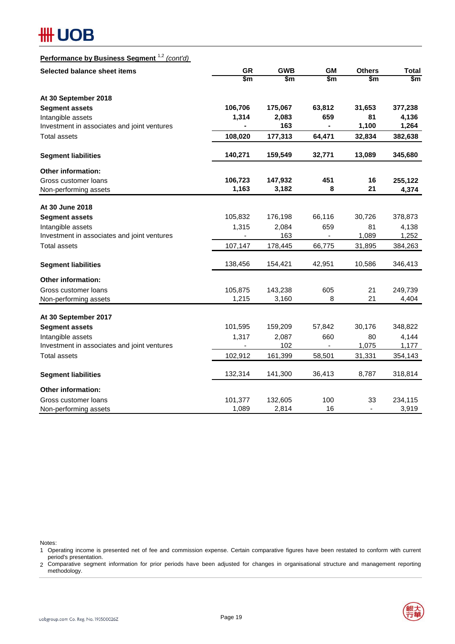# **#H UOB**

## **Performance by Business Segment** 1,2 *(cont'd)*

| Selected balance sheet items                | <b>GR</b>      | <b>GWB</b> | <b>GM</b>                | <b>Others</b>  | <b>Total</b>  |
|---------------------------------------------|----------------|------------|--------------------------|----------------|---------------|
|                                             | \$m            | \$m        | \$m                      | \$m            | $\mathsf{Sm}$ |
| At 30 September 2018                        |                |            |                          |                |               |
| <b>Segment assets</b>                       | 106,706        | 175,067    | 63,812                   | 31,653         | 377,238       |
| Intangible assets                           | 1,314          | 2,083      | 659                      | 81             | 4,136         |
| Investment in associates and joint ventures |                | 163        |                          | 1,100          | 1,264         |
| <b>Total assets</b>                         | 108,020        | 177,313    | 64,471                   | 32,834         | 382,638       |
| <b>Segment liabilities</b>                  | 140,271        | 159,549    | 32,771                   | 13,089         | 345,680       |
| <b>Other information:</b>                   |                |            |                          |                |               |
| Gross customer loans                        | 106,723        | 147,932    | 451                      | 16             | 255,122       |
| Non-performing assets                       | 1,163          | 3,182      | 8                        | 21             | 4,374         |
| At 30 June 2018                             |                |            |                          |                |               |
| <b>Segment assets</b>                       | 105,832        | 176,198    | 66,116                   | 30,726         | 378,873       |
| Intangible assets                           | 1,315          | 2,084      | 659                      | 81             | 4,138         |
| Investment in associates and joint ventures | $\blacksquare$ | 163        | L.                       | 1,089          | 1,252         |
| Total assets                                | 107,147        | 178,445    | 66,775                   | 31,895         | 384,263       |
| <b>Segment liabilities</b>                  | 138,456        | 154,421    | 42,951                   | 10,586         | 346,413       |
|                                             |                |            |                          |                |               |
| <b>Other information:</b>                   |                |            |                          |                |               |
| Gross customer loans                        | 105,875        | 143,238    | 605                      | 21             | 249,739       |
| Non-performing assets                       | 1,215          | 3,160      | 8                        | 21             | 4,404         |
| At 30 September 2017                        |                |            |                          |                |               |
| <b>Segment assets</b>                       | 101,595        | 159,209    | 57,842                   | 30,176         | 348,822       |
| Intangible assets                           | 1,317          | 2,087      | 660                      | 80             | 4,144         |
| Investment in associates and joint ventures |                | 102        | $\overline{\phantom{0}}$ | 1,075          | 1,177         |
| <b>Total assets</b>                         | 102,912        | 161,399    | 58,501                   | 31,331         | 354,143       |
| <b>Segment liabilities</b>                  | 132,314        | 141,300    | 36,413                   | 8,787          | 318,814       |
| <b>Other information:</b>                   |                |            |                          |                |               |
| Gross customer loans                        | 101,377        | 132,605    | 100                      | 33             | 234,115       |
| Non-performing assets                       | 1,089          | 2,814      | 16                       | $\blacksquare$ | 3,919         |

Notes:

<sup>1</sup> Operating income is presented net of fee and commission expense. Certain comparative figures have been restated to conform with current period's presentation.

<sup>2</sup> Comparative segment information for prior periods have been adjusted for changes in organisational structure and management reporting methodology.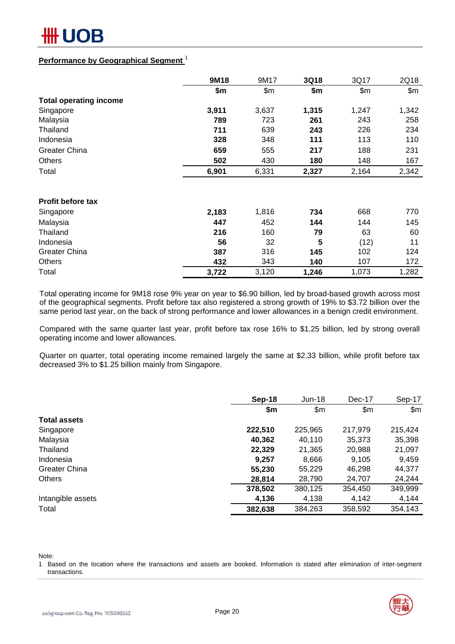

### **Performance by Geographical Segment** <sup>1</sup>

|                               | 9M18  | 9M17  | 3Q18  | 3Q17  | 2Q18  |
|-------------------------------|-------|-------|-------|-------|-------|
|                               | \$m\$ | \$m\$ | \$m   | \$m\$ | \$m\$ |
| <b>Total operating income</b> |       |       |       |       |       |
| Singapore                     | 3,911 | 3,637 | 1,315 | 1,247 | 1,342 |
| Malaysia                      | 789   | 723   | 261   | 243   | 258   |
| Thailand                      | 711   | 639   | 243   | 226   | 234   |
| Indonesia                     | 328   | 348   | 111   | 113   | 110   |
| <b>Greater China</b>          | 659   | 555   | 217   | 188   | 231   |
| <b>Others</b>                 | 502   | 430   | 180   | 148   | 167   |
| Total                         | 6,901 | 6,331 | 2,327 | 2,164 | 2,342 |
|                               |       |       |       |       |       |
| <b>Profit before tax</b>      |       |       |       |       |       |
| Singapore                     | 2,183 | 1,816 | 734   | 668   | 770   |
| Malaysia                      | 447   | 452   | 144   | 144   | 145   |
| Thailand                      | 216   | 160   | 79    | 63    | 60    |
| Indonesia                     | 56    | 32    | 5     | (12)  | 11    |
| <b>Greater China</b>          | 387   | 316   | 145   | 102   | 124   |
| Others                        | 432   | 343   | 140   | 107   | 172   |
| Total                         | 3,722 | 3,120 | 1,246 | 1,073 | 1,282 |

Total operating income for 9M18 rose 9% year on year to \$6.90 billion, led by broad-based growth across most of the geographical segments. Profit before tax also registered a strong growth of 19% to \$3.72 billion over the same period last year, on the back of strong performance and lower allowances in a benign credit environment.

Compared with the same quarter last year, profit before tax rose 16% to \$1.25 billion, led by strong overall operating income and lower allowances.

Quarter on quarter, total operating income remained largely the same at \$2.33 billion, while profit before tax decreased 3% to \$1.25 billion mainly from Singapore.

|                      | <b>Sep-18</b> | $Jun-18$ | Dec-17  | Sep-17  |
|----------------------|---------------|----------|---------|---------|
|                      | \$m           | \$m      | \$m\$   | \$m     |
| <b>Total assets</b>  |               |          |         |         |
| Singapore            | 222,510       | 225,965  | 217,979 | 215,424 |
| Malaysia             | 40,362        | 40,110   | 35,373  | 35,398  |
| Thailand             | 22,329        | 21,365   | 20,988  | 21,097  |
| Indonesia            | 9.257         | 8,666    | 9,105   | 9,459   |
| <b>Greater China</b> | 55,230        | 55,229   | 46,298  | 44,377  |
| <b>Others</b>        | 28,814        | 28,790   | 24,707  | 24,244  |
|                      | 378,502       | 380,125  | 354,450 | 349,999 |
| Intangible assets    | 4,136         | 4,138    | 4,142   | 4,144   |
| Total                | 382,638       | 384,263  | 358,592 | 354,143 |

Note:

1 Based on the location where the transactions and assets are booked. Information is stated after elimination of inter-segment transactions.

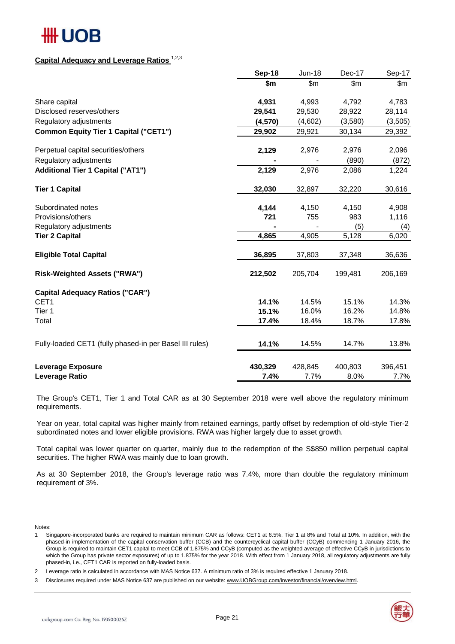# ## UOB

## **Capital Adequacy and Leverage Ratios** 1,2,3

|                                                         | Sep-18  | <b>Jun-18</b> | Dec-17  | Sep-17  |
|---------------------------------------------------------|---------|---------------|---------|---------|
|                                                         | \$m     | \$m           | \$m\$   | \$m     |
| Share capital                                           | 4,931   | 4,993         | 4,792   | 4,783   |
| Disclosed reserves/others                               | 29,541  | 29,530        | 28,922  | 28,114  |
| Regulatory adjustments                                  | (4,570) | (4,602)       | (3,580) | (3,505) |
| <b>Common Equity Tier 1 Capital ("CET1")</b>            | 29,902  | 29,921        | 30,134  | 29,392  |
| Perpetual capital securities/others                     | 2,129   | 2,976         | 2,976   | 2,096   |
| Regulatory adjustments                                  |         |               | (890)   | (872)   |
| <b>Additional Tier 1 Capital ("AT1")</b>                | 2,129   | 2,976         | 2,086   | 1,224   |
| <b>Tier 1 Capital</b>                                   | 32,030  | 32,897        | 32,220  | 30,616  |
| Subordinated notes                                      | 4,144   | 4,150         | 4,150   | 4,908   |
| Provisions/others                                       | 721     | 755           | 983     | 1,116   |
| Regulatory adjustments                                  |         |               | (5)     | (4)     |
| <b>Tier 2 Capital</b>                                   | 4,865   | 4,905         | 5,128   | 6,020   |
| <b>Eligible Total Capital</b>                           | 36,895  | 37,803        | 37,348  | 36,636  |
| <b>Risk-Weighted Assets ("RWA")</b>                     | 212,502 | 205,704       | 199,481 | 206,169 |
| <b>Capital Adequacy Ratios ("CAR")</b>                  |         |               |         |         |
| CET1                                                    | 14.1%   | 14.5%         | 15.1%   | 14.3%   |
| Tier 1                                                  | 15.1%   | 16.0%         | 16.2%   | 14.8%   |
| Total                                                   | 17.4%   | 18.4%         | 18.7%   | 17.8%   |
| Fully-loaded CET1 (fully phased-in per Basel III rules) | 14.1%   | 14.5%         | 14.7%   | 13.8%   |
| <b>Leverage Exposure</b>                                | 430,329 | 428,845       | 400,803 | 396,451 |
| Leverage Ratio                                          | 7.4%    | 7.7%          | 8.0%    | 7.7%    |

The Group's CET1, Tier 1 and Total CAR as at 30 September 2018 were well above the regulatory minimum requirements.

Year on year, total capital was higher mainly from retained earnings, partly offset by redemption of old-style Tier-2 subordinated notes and lower eligible provisions. RWA was higher largely due to asset growth.

Total capital was lower quarter on quarter, mainly due to the redemption of the S\$850 million perpetual capital securities. The higher RWA was mainly due to loan growth.

As at 30 September 2018, the Group's leverage ratio was 7.4%, more than double the regulatory minimum requirement of 3%.

Notes:

1 Singapore-incorporated banks are required to maintain minimum CAR as follows: CET1 at 6.5%, Tier 1 at 8% and Total at 10%. In addition, with the phased-in implementation of the capital conservation buffer (CCB) and the countercyclical capital buffer (CCyB) commencing 1 January 2016, the Group is required to maintain CET1 capital to meet CCB of 1.875% and CCyB (computed as the weighted average of effective CCyB in jurisdictions to which the Group has private sector exposures) of up to 1.875% for the year 2018. With effect from 1 January 2018, all regulatory adjustments are fully phased-in, i.e., CET1 CAR is reported on fully-loaded basis.

 $\mathfrak{p}$ Leverage ratio is calculated in accordance with MAS Notice 637. A minimum ratio of 3% is required effective 1 January 2018.



<sup>3</sup> Disclosures required under MAS Notice 637 are published on our website: www.UOBGroup.com/investor/financial/overview.html.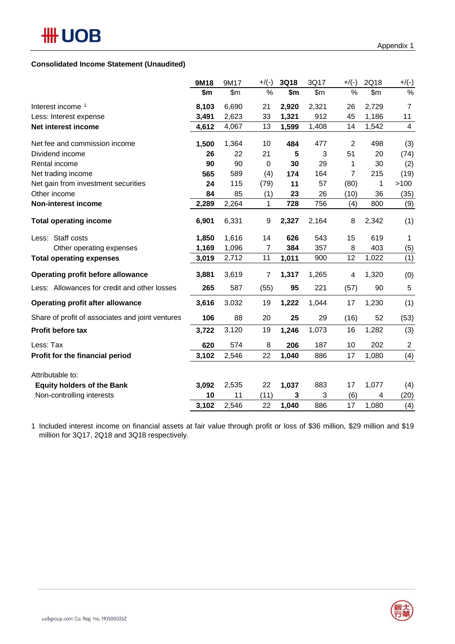### **Consolidated Income Statement (Unaudited)**

|                                                  | 9M18  | 9M17  | $+$ /(-) | <b>3Q18</b> | 3Q17  | $+$ /(-)       | 2Q18           | $+/(-)$                 |
|--------------------------------------------------|-------|-------|----------|-------------|-------|----------------|----------------|-------------------------|
|                                                  | \$m   | \$m\$ | %        | \$m         | \$m\$ | %              | $\mathsf{S}$ m | %                       |
| Interest income 1                                | 8,103 | 6,690 | 21       | 2,920       | 2,321 | 26             | 2,729          | $\overline{7}$          |
| Less: Interest expense                           | 3,491 | 2,623 | 33       | 1,321       | 912   | 45             | 1,186          | 11                      |
| Net interest income                              | 4,612 | 4,067 | 13       | 1,599       | 1,408 | 14             | 1,542          | $\overline{\mathbf{4}}$ |
| Net fee and commission income                    | 1,500 | 1,364 | 10       | 484         | 477   | $\overline{2}$ | 498            | (3)                     |
| Dividend income                                  | 26    | 22    | 21       | 5           | 3     | 51             | 20             | (74)                    |
| Rental income                                    | 90    | 90    | 0        | 30          | 29    | 1              | 30             | (2)                     |
| Net trading income                               | 565   | 589   | (4)      | 174         | 164   | 7              | 215            | (19)                    |
| Net gain from investment securities              | 24    | 115   | (79)     | 11          | 57    | (80)           | 1              | >100                    |
| Other income                                     | 84    | 85    | (1)      | 23          | 26    | (10)           | 36             | (35)                    |
| Non-interest income                              | 2,289 | 2,264 | 1        | 728         | 756   | (4)            | 800            | (9)                     |
| <b>Total operating income</b>                    | 6,901 | 6,331 | 9        | 2,327       | 2,164 | 8              | 2,342          | (1)                     |
| Less: Staff costs                                | 1,850 | 1,616 | 14       | 626         | 543   | 15             | 619            | 1                       |
| Other operating expenses                         | 1,169 | 1,096 | 7        | 384         | 357   | 8              | 403            | (5)                     |
| <b>Total operating expenses</b>                  | 3,019 | 2,712 | 11       | 1,011       | 900   | 12             | 1,022          | (1)                     |
| Operating profit before allowance                | 3,881 | 3,619 | 7        | 1,317       | 1,265 | 4              | 1,320          | (0)                     |
| Less: Allowances for credit and other losses     | 265   | 587   | (55)     | 95          | 221   | (57)           | 90             | 5                       |
| <b>Operating profit after allowance</b>          | 3,616 | 3,032 | 19       | 1,222       | 1,044 | 17             | 1,230          | (1)                     |
| Share of profit of associates and joint ventures | 106   | 88    | 20       | 25          | 29    | (16)           | 52             | (53)                    |
| Profit before tax                                | 3,722 | 3,120 | 19       | 1,246       | 1,073 | 16             | 1,282          | (3)                     |
| Less: Tax                                        | 620   | 574   | 8        | 206         | 187   | 10             | 202            | $\boldsymbol{2}$        |
| Profit for the financial period                  | 3,102 | 2,546 | 22       | 1,040       | 886   | 17             | 1,080          | (4)                     |
| Attributable to:                                 |       |       |          |             |       |                |                |                         |
| <b>Equity holders of the Bank</b>                | 3,092 | 2,535 | 22       | 1,037       | 883   | 17             | 1,077          | (4)                     |
| Non-controlling interests                        | 10    | 11    | (11)     | 3           | 3     | (6)            | 4              | (20)                    |
|                                                  | 3,102 | 2,546 | 22       | 1,040       | 886   | 17             | 1,080          | (4)                     |

1 Included interest income on financial assets at fair value through profit or loss of \$36 million, \$29 million and \$19 million for 3Q17, 2Q18 and 3Q18 respectively.

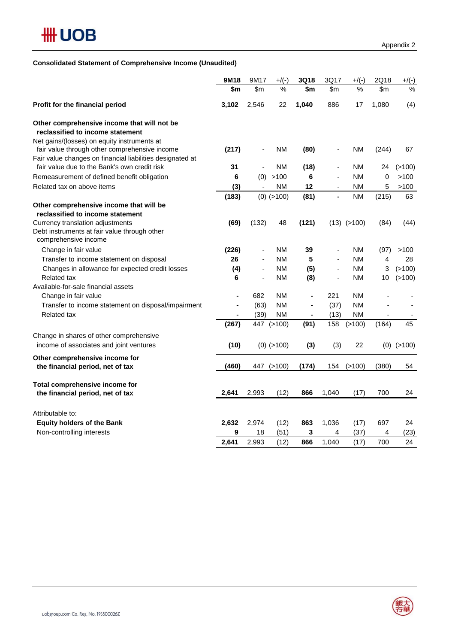### **Consolidated Statement of Comprehensive Income (Unaudited)**

|                                                                                                           | 9M18           | 9M17                     | $+$ /(-)      | 3Q18           | 3Q17                         | $+$ /(-)        | 2Q18                     | $+/(-)$        |
|-----------------------------------------------------------------------------------------------------------|----------------|--------------------------|---------------|----------------|------------------------------|-----------------|--------------------------|----------------|
|                                                                                                           | \$m            | \$m                      | $\frac{1}{2}$ | \$m            | \$m\$                        | $\frac{1}{2}$   | \$m                      | $\frac{9}{6}$  |
| Profit for the financial period                                                                           | 3,102          | 2,546                    | 22            | 1,040          | 886                          | 17              | 1,080                    | (4)            |
| Other comprehensive income that will not be<br>reclassified to income statement                           |                |                          |               |                |                              |                 |                          |                |
| Net gains/(losses) on equity instruments at<br>fair value through other comprehensive income              | (217)          | $\overline{\phantom{a}}$ | ΝM            | (80)           |                              | ΝM              | (244)                    | 67             |
| Fair value changes on financial liabilities designated at<br>fair value due to the Bank's own credit risk | 31             | $\overline{\phantom{a}}$ | ΝM            | (18)           | $\qquad \qquad \blacksquare$ | NM              | 24                       | (>100)         |
| Remeasurement of defined benefit obligation                                                               | 6              |                          | (0) > 100     | 6              | $\overline{\phantom{a}}$     | <b>NM</b>       | 0                        | >100           |
| Related tax on above items                                                                                | (3)            | $\overline{\phantom{a}}$ | <b>NM</b>     | 12             | $\overline{\phantom{0}}$     | NM              | 5                        | >100           |
|                                                                                                           | (183)          |                          | $(0)$ (>100)  | (81)           | $\overline{a}$               | <b>NM</b>       | (215)                    | 63             |
| Other comprehensive income that will be                                                                   |                |                          |               |                |                              |                 |                          |                |
| reclassified to income statement                                                                          |                |                          |               |                |                              |                 |                          |                |
| Currency translation adjustments                                                                          | (69)           | (132)                    | 48            | (121)          |                              | $(13)$ $(>100)$ | (84)                     | (44)           |
| Debt instruments at fair value through other<br>comprehensive income                                      |                |                          |               |                |                              |                 |                          |                |
| Change in fair value                                                                                      | (226)          | $\overline{\phantom{a}}$ | ΝM            | 39             | $\qquad \qquad \blacksquare$ | <b>NM</b>       | (97)                     | >100           |
| Transfer to income statement on disposal                                                                  | 26             | ä,                       | ΝM            | 5              | ä,                           | <b>NM</b>       | 4                        | 28             |
| Changes in allowance for expected credit losses                                                           | (4)            | $\overline{\phantom{a}}$ | <b>NM</b>     | (5)            | ٠                            | <b>NM</b>       | 3                        | (>100)         |
| <b>Related tax</b>                                                                                        | 6              | ä,                       | ΝM            | (8)            | ÷,                           | <b>NM</b>       | 10                       | (>100)         |
| Available-for-sale financial assets                                                                       |                |                          |               |                |                              |                 |                          |                |
| Change in fair value                                                                                      | $\blacksquare$ | 682                      | ΝM            | $\blacksquare$ | 221                          | <b>NM</b>       |                          |                |
| Transfer to income statement on disposal/impairment                                                       | ÷              | (63)                     | ΝM            | $\blacksquare$ | (37)                         | <b>NM</b>       |                          |                |
| <b>Related tax</b>                                                                                        | $\blacksquare$ | (39)                     | ΝM            | $\blacksquare$ | (13)                         | <b>NM</b>       | $\overline{\phantom{a}}$ |                |
|                                                                                                           | (267)          |                          | 447 (>100)    | (91)           | 158                          | (>100)          | (164)                    | 45             |
| Change in shares of other comprehensive                                                                   |                |                          |               |                |                              |                 |                          |                |
| income of associates and joint ventures                                                                   | (10)           |                          | $(0)$ (>100)  | (3)            | (3)                          | 22              |                          | $(0)$ $(>100)$ |
| Other comprehensive income for                                                                            |                |                          |               |                |                              |                 |                          |                |
| the financial period, net of tax                                                                          | (460)          |                          | 447 (>100)    | (174)          | 154                          | (>100)          | (380)                    | 54             |
|                                                                                                           |                |                          |               |                |                              |                 |                          |                |
| Total comprehensive income for<br>the financial period, net of tax                                        | 2,641          | 2,993                    | (12)          | 866            | 1,040                        | (17)            | 700                      | 24             |
|                                                                                                           |                |                          |               |                |                              |                 |                          |                |
| Attributable to:                                                                                          |                |                          |               |                |                              |                 |                          |                |
| <b>Equity holders of the Bank</b>                                                                         | 2,632          | 2,974                    | (12)          | 863            | 1,036                        | (17)            | 697                      | 24             |
| Non-controlling interests                                                                                 | 9              | 18                       | (51)          | 3              | 4                            | (37)            | 4                        | (23)           |
|                                                                                                           | 2,641          | 2.993                    | (12)          | 866            | 1,040                        | (17)            | 700                      | 24             |

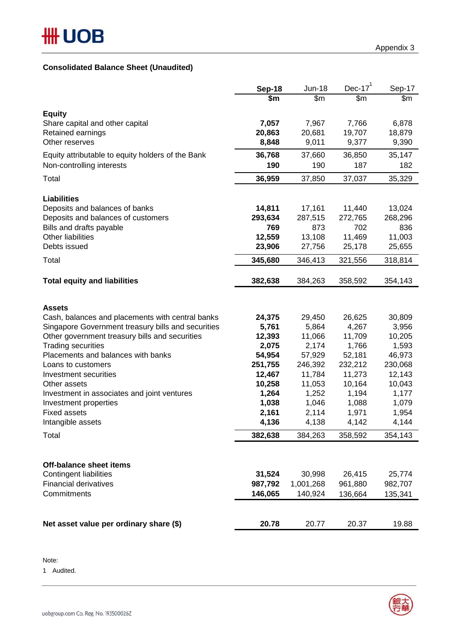## **Consolidated Balance Sheet (Unaudited)**

|                                                          | Sep-18           | <b>Jun-18</b>     | Dec-17 $1$        | Sep-17           |
|----------------------------------------------------------|------------------|-------------------|-------------------|------------------|
|                                                          | \$m              | \$m               | \$m               | \$m              |
| <b>Equity</b>                                            |                  |                   |                   |                  |
| Share capital and other capital                          | 7,057            | 7,967             | 7,766             | 6,878            |
| Retained earnings                                        | 20,863           | 20,681            | 19,707            | 18,879           |
| Other reserves                                           | 8,848            | 9,011             | 9,377             | 9,390            |
| Equity attributable to equity holders of the Bank        | 36,768           | 37,660            | 36,850            | 35,147           |
| Non-controlling interests                                | 190              | 190               | 187               | 182              |
| Total                                                    | 36,959           | 37,850            | 37,037            | 35,329           |
|                                                          |                  |                   |                   |                  |
| <b>Liabilities</b><br>Deposits and balances of banks     | 14,811           | 17,161            | 11,440            | 13,024           |
| Deposits and balances of customers                       | 293,634          | 287,515           | 272,765           | 268,296          |
| Bills and drafts payable                                 | 769              | 873               | 702               | 836              |
| Other liabilities                                        | 12,559           | 13,108            | 11,469            | 11,003           |
| Debts issued                                             | 23,906           | 27,756            | 25,178            | 25,655           |
| Total                                                    | 345,680          | 346,413           | 321,556           | 318,814          |
|                                                          |                  |                   |                   |                  |
| <b>Total equity and liabilities</b>                      | 382,638          | 384,263           | 358,592           | 354,143          |
|                                                          |                  |                   |                   |                  |
| <b>Assets</b>                                            |                  |                   |                   |                  |
| Cash, balances and placements with central banks         | 24,375           | 29,450            | 26,625            | 30,809           |
| Singapore Government treasury bills and securities       | 5,761            | 5,864             | 4,267             | 3,956            |
| Other government treasury bills and securities           | 12,393           | 11,066            | 11,709            | 10,205           |
| <b>Trading securities</b>                                | 2,075            | 2,174             | 1,766             | 1,593            |
| Placements and balances with banks<br>Loans to customers | 54,954           | 57,929            | 52,181            | 46,973           |
| Investment securities                                    | 251,755          | 246,392<br>11,784 | 232,212<br>11,273 | 230,068          |
| Other assets                                             | 12,467<br>10,258 | 11,053            | 10,164            | 12,143<br>10,043 |
| Investment in associates and joint ventures              | 1,264            | 1,252             | 1,194             | 1,177            |
| Investment properties                                    | 1,038            | 1,046             | 1,088             | 1,079            |
| <b>Fixed assets</b>                                      | 2,161            | 2,114             | 1,971             | 1,954            |
| Intangible assets                                        | 4,136            | 4,138             | 4,142             | 4,144            |
| Total                                                    | 382,638          | 384,263           | 358,592           | 354,143          |
|                                                          |                  |                   |                   |                  |
| Off-balance sheet items                                  |                  |                   |                   |                  |
| <b>Contingent liabilities</b>                            | 31,524           | 30,998            | 26,415            | 25,774           |
| <b>Financial derivatives</b>                             | 987,792          | 1,001,268         | 961,880           | 982,707          |
| Commitments                                              | 146,065          | 140,924           | 136,664           | 135,341          |
|                                                          |                  |                   |                   |                  |
| Net asset value per ordinary share (\$)                  | 20.78            | 20.77             | 20.37             | 19.88            |
|                                                          |                  |                   |                   |                  |

Note:

1 Audited.

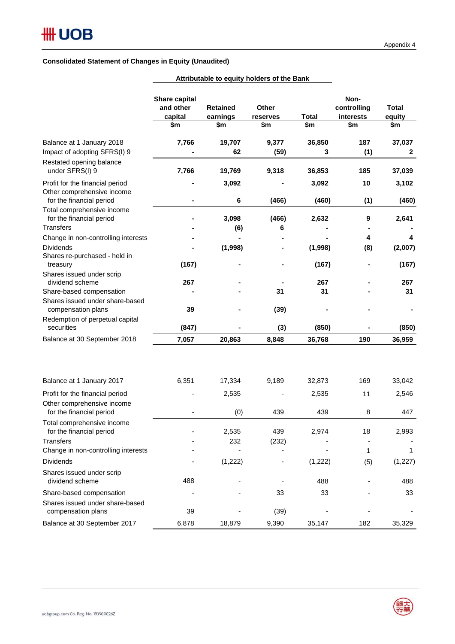### **Consolidated Statement of Changes in Equity (Unaudited)**

|                                                                                          | Share capital<br>and other<br>capital<br>\$m | <b>Retained</b><br>earnings<br>\$m | <b>Other</b><br>reserves<br>\$m | Total<br>\$m | Non-<br>controlling<br>interests<br>\$m | <b>Total</b><br>equity<br>\$m |
|------------------------------------------------------------------------------------------|----------------------------------------------|------------------------------------|---------------------------------|--------------|-----------------------------------------|-------------------------------|
| Balance at 1 January 2018                                                                | 7,766                                        | 19,707                             | 9,377                           | 36,850       | 187                                     | 37,037                        |
| Impact of adopting SFRS(I) 9                                                             |                                              | 62                                 | (59)                            | 3            | (1)                                     | $\mathbf{2}$                  |
| Restated opening balance<br>under SFRS(I) 9                                              | 7,766                                        | 19,769                             | 9,318                           | 36,853       | 185                                     | 37,039                        |
| Profit for the financial period<br>Other comprehensive income                            |                                              | 3,092                              |                                 | 3,092        | 10                                      | 3,102                         |
| for the financial period<br>Total comprehensive income                                   |                                              | 6                                  | (466)                           | (460)        | (1)                                     | (460)                         |
| for the financial period<br><b>Transfers</b>                                             |                                              | 3,098                              | (466)                           | 2,632        | 9                                       | 2,641                         |
|                                                                                          |                                              | (6)                                | 6                               |              | 4                                       | 4                             |
| Change in non-controlling interests<br><b>Dividends</b><br>Shares re-purchased - held in |                                              | (1,998)                            |                                 | (1,998)      | (8)                                     | (2,007)                       |
| treasury                                                                                 | (167)                                        |                                    |                                 | (167)        |                                         | (167)                         |
| Shares issued under scrip                                                                |                                              |                                    |                                 |              |                                         |                               |
| dividend scheme                                                                          | 267                                          |                                    |                                 | 267          |                                         | 267                           |
| Share-based compensation<br>Shares issued under share-based<br>compensation plans        | 39                                           |                                    | 31<br>(39)                      | 31           |                                         | 31                            |
| Redemption of perpetual capital                                                          |                                              |                                    |                                 |              |                                         |                               |
| securities                                                                               | (847)                                        |                                    | (3)                             | (850)        |                                         | (850)                         |
| Balance at 30 September 2018                                                             | 7,057                                        | 20,863                             | 8,848                           | 36,768       | 190                                     | 36,959                        |
| Balance at 1 January 2017                                                                | 6,351                                        | 17,334                             | 9,189                           | 32,873       | 169                                     | 33,042                        |
| Profit for the financial period                                                          |                                              | 2,535                              |                                 | 2,535        | 11                                      | 2,546                         |
| Other comprehensive income<br>for the financial period                                   |                                              | (0)                                | 439                             | 439          | 8                                       | 447                           |
| Total comprehensive income<br>for the financial period                                   |                                              | 2,535                              | 439                             | 2,974        | 18                                      | 2,993                         |
| <b>Transfers</b>                                                                         |                                              | 232                                | (232)                           |              |                                         |                               |
| Change in non-controlling interests                                                      |                                              |                                    |                                 |              | 1                                       | 1                             |
| <b>Dividends</b>                                                                         |                                              | (1, 222)                           |                                 | (1,222)      | (5)                                     | (1, 227)                      |
| Shares issued under scrip<br>dividend scheme                                             | 488                                          |                                    |                                 | 488          |                                         | 488                           |
| Share-based compensation                                                                 |                                              |                                    | 33                              | 33           |                                         | 33                            |
| Shares issued under share-based<br>compensation plans                                    | 39                                           |                                    | (39)                            |              |                                         |                               |
| Balance at 30 September 2017                                                             | 6,878                                        | 18,879                             | 9,390                           | 35,147       | 182                                     | 35,329                        |

### **Attributable to equity holders of the Bank**

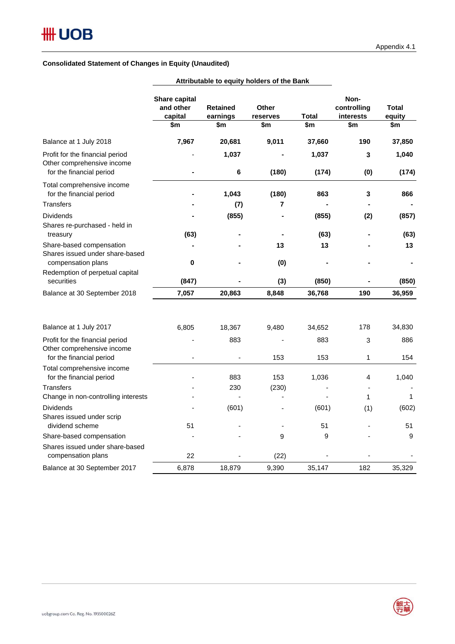### **Consolidated Statement of Changes in Equity (Unaudited)**

|                                                                                               | Attributable to equity noiders of the Bank   |                                    |                                 |                |                                         |                               |
|-----------------------------------------------------------------------------------------------|----------------------------------------------|------------------------------------|---------------------------------|----------------|-----------------------------------------|-------------------------------|
|                                                                                               | Share capital<br>and other<br>capital<br>\$m | <b>Retained</b><br>earnings<br>\$m | <b>Other</b><br>reserves<br>\$m | Total<br>\$m   | Non-<br>controlling<br>interests<br>\$m | <b>Total</b><br>equity<br>\$m |
| Balance at 1 July 2018                                                                        | 7,967                                        | 20,681                             | 9,011                           | 37,660         | 190                                     | 37,850                        |
| Profit for the financial period<br>Other comprehensive income<br>for the financial period     |                                              | 1,037<br>6                         | (180)                           | 1,037<br>(174) | 3<br>(0)                                | 1,040<br>(174)                |
| Total comprehensive income<br>for the financial period                                        |                                              | 1,043                              | (180)                           | 863            | 3                                       | 866                           |
| <b>Transfers</b><br><b>Dividends</b><br>Shares re-purchased - held in                         |                                              | (7)<br>(855)                       | 7                               | (855)          | (2)                                     | (857)                         |
| treasury<br>Share-based compensation<br>Shares issued under share-based<br>compensation plans | (63)<br>0                                    |                                    | 13<br>(0)                       | (63)<br>13     |                                         | (63)<br>13                    |
| Redemption of perpetual capital<br>securities                                                 | (847)                                        |                                    | (3)                             | (850)          |                                         | (850)                         |
| Balance at 30 September 2018                                                                  | 7,057                                        | 20,863                             | 8,848                           | 36,768         | 190                                     | 36,959                        |
| Balance at 1 July 2017                                                                        | 6,805                                        | 18,367                             | 9,480                           | 34,652         | 178                                     | 34,830                        |
| Profit for the financial period<br>Other comprehensive income<br>for the financial period     |                                              | 883                                | 153                             | 883<br>153     | 3<br>1                                  | 886<br>154                    |
| Total comprehensive income<br>for the financial period                                        |                                              | 883                                | 153                             | 1,036          | 4                                       | 1,040                         |
| <b>Transfers</b><br>Change in non-controlling interests                                       |                                              | 230                                | (230)                           |                | 1                                       | 1                             |
| Dividends<br>Shares issued under scrip                                                        | 51                                           | (601)                              |                                 | (601)          | (1)                                     | (602)                         |
| dividend scheme<br>Share-based compensation                                                   |                                              |                                    | 9                               | 51<br>9        |                                         | 51<br>9                       |

compensation plans and the compensation plans of the compensation plans of the compensation plans of the compensation  $22$ Balance at 30 September 2017 6,878 18,879 9,390 35,147 182 35,329

**Attributable to equity holders of the Bank**

Shares issued under share-based

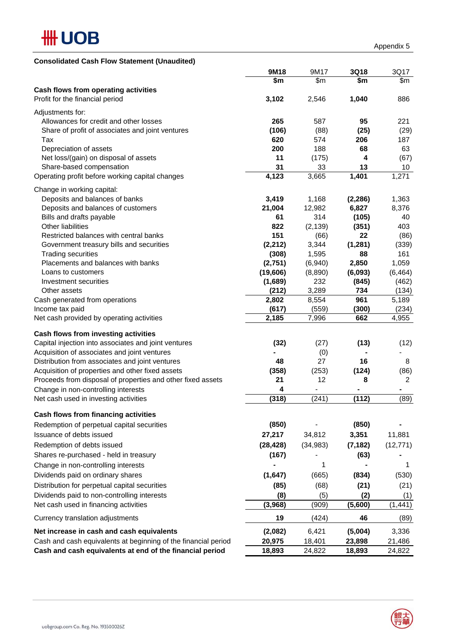

| <b>Consolidated Cash Flow Statement (Unaudited)</b>            |           |                          |          |                  |
|----------------------------------------------------------------|-----------|--------------------------|----------|------------------|
|                                                                | 9M18      | 9M17                     | 3Q18     | 3Q17             |
|                                                                | \$m       | \$m                      | \$m      | \$m              |
| Cash flows from operating activities                           |           |                          |          |                  |
| Profit for the financial period                                | 3,102     | 2,546                    | 1,040    | 886              |
| Adjustments for:                                               |           |                          |          |                  |
| Allowances for credit and other losses                         | 265       | 587                      | 95       | 221              |
| Share of profit of associates and joint ventures               | (106)     | (88)                     | (25)     | (29)             |
| Tax                                                            | 620       | 574                      | 206      | 187              |
| Depreciation of assets                                         | 200       | 188                      | 68       | 63               |
| Net loss/(gain) on disposal of assets                          | 11        | (175)                    | 4        | (67)             |
| Share-based compensation                                       | 31        | 33                       | 13       | 10               |
| Operating profit before working capital changes                | 4,123     | 3,665                    | 1,401    | 1,271            |
| Change in working capital:                                     |           |                          |          |                  |
| Deposits and balances of banks                                 | 3,419     | 1,168                    | (2, 286) | 1,363            |
| Deposits and balances of customers                             | 21,004    | 12,982                   | 6,827    | 8,376            |
| Bills and drafts payable                                       | 61        | 314                      | (105)    | 40               |
| Other liabilities                                              | 822       | (2, 139)                 | (351)    | 403              |
| Restricted balances with central banks                         | 151       | (66)                     | 22       | (86)             |
| Government treasury bills and securities                       | (2, 212)  | 3,344                    | (1, 281) | (339)            |
| <b>Trading securities</b>                                      | (308)     | 1,595                    | 88       | 161              |
| Placements and balances with banks                             | (2,751)   | (6,940)                  | 2,850    | 1,059            |
| Loans to customers                                             | (19,606)  | (8,890)                  | (6,093)  | (6, 464)         |
| Investment securities                                          | (1,689)   | 232                      | (845)    | (462)            |
| Other assets                                                   | (212)     | 3,289                    | 734      | (134)            |
| Cash generated from operations                                 | 2,802     | 8,554                    | 961      | 5,189            |
| Income tax paid                                                | (617)     | (559)                    | (300)    | (234)            |
| Net cash provided by operating activities                      | 2,185     | 7,996                    | 662      | 4,955            |
| Cash flows from investing activities                           |           |                          |          |                  |
| Capital injection into associates and joint ventures           | (32)      | (27)                     | (13)     | (12)             |
| Acquisition of associates and joint ventures                   |           | (0)                      |          |                  |
| Distribution from associates and joint ventures                | 48        | 27                       | 16       | 8                |
| Acquisition of properties and other fixed assets               | (358)     | (253)                    | (124)    | (86)             |
| Proceeds from disposal of properties and other fixed assets    | 21        | 12                       | 8        | $\overline{2}$   |
| Change in non-controlling interests                            | 4         | $\overline{\phantom{a}}$ | ۰        | ۰                |
| Net cash used in investing activities                          | (318)     | (241)                    | (112)    | (89)             |
|                                                                |           |                          |          |                  |
| Cash flows from financing activities                           |           |                          |          |                  |
| Redemption of perpetual capital securities                     | (850)     |                          | (850)    |                  |
| Issuance of debts issued                                       | 27,217    | 34,812                   | 3,351    | 11,881           |
| Redemption of debts issued                                     | (28, 428) | (34, 983)                | (7, 182) | (12, 771)        |
| Shares re-purchased - held in treasury                         | (167)     |                          | (63)     |                  |
| Change in non-controlling interests                            |           | 1                        |          | 1                |
| Dividends paid on ordinary shares                              | (1,647)   | (665)                    | (834)    | (530)            |
| Distribution for perpetual capital securities                  | (85)      | (68)                     | (21)     | (21)             |
| Dividends paid to non-controlling interests                    | (8)       | (5)                      | (2)      | (1)              |
| Net cash used in financing activities                          | (3,968)   | (909)                    | (5,600)  | (1, 441)         |
| Currency translation adjustments                               | 19        | (424)                    | 46       | (89)             |
| Net increase in cash and cash equivalents                      | (2,082)   | 6,421                    | (5,004)  | 3,336            |
| Cash and cash equivalents at beginning of the financial period | 20,975    | 18,401                   | 23,898   |                  |
| Cash and cash equivalents at end of the financial period       | 18,893    | 24,822                   | 18,893   | 21,486<br>24,822 |
|                                                                |           |                          |          |                  |

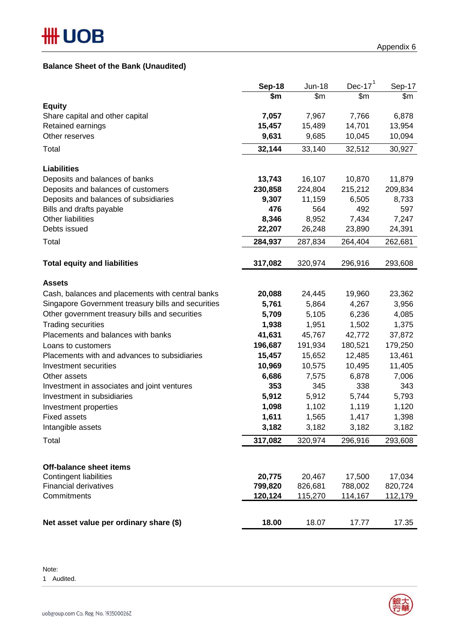## **Balance Sheet of the Bank (Unaudited)**

|                                                    | <b>Sep-18</b> | <b>Jun-18</b> | Dec-17 $1$ | Sep-17  |
|----------------------------------------------------|---------------|---------------|------------|---------|
|                                                    | \$m           | \$m           | \$m        | \$m     |
| <b>Equity</b>                                      |               |               |            |         |
| Share capital and other capital                    | 7,057         | 7,967         | 7,766      | 6,878   |
| Retained earnings                                  | 15,457        | 15,489        | 14,701     | 13,954  |
| Other reserves                                     | 9,631         | 9,685         | 10,045     | 10,094  |
| Total                                              | 32,144        | 33,140        | 32,512     | 30,927  |
| <b>Liabilities</b>                                 |               |               |            |         |
| Deposits and balances of banks                     | 13,743        | 16,107        | 10,870     | 11,879  |
| Deposits and balances of customers                 | 230,858       | 224,804       | 215,212    | 209,834 |
| Deposits and balances of subsidiaries              | 9,307         | 11,159        | 6,505      | 8,733   |
| Bills and drafts payable                           | 476           | 564           | 492        | 597     |
| Other liabilities                                  | 8,346         | 8,952         | 7,434      | 7,247   |
| Debts issued                                       | 22,207        | 26,248        | 23,890     | 24,391  |
| Total                                              | 284,937       | 287,834       | 264,404    | 262,681 |
|                                                    |               |               |            |         |
| <b>Total equity and liabilities</b>                | 317,082       | 320,974       | 296,916    | 293,608 |
| <b>Assets</b>                                      |               |               |            |         |
| Cash, balances and placements with central banks   | 20,088        | 24,445        | 19,960     | 23,362  |
| Singapore Government treasury bills and securities | 5,761         | 5,864         | 4,267      | 3,956   |
| Other government treasury bills and securities     | 5,709         | 5,105         | 6,236      | 4,085   |
| <b>Trading securities</b>                          | 1,938         | 1,951         | 1,502      | 1,375   |
| Placements and balances with banks                 | 41,631        | 45,767        | 42,772     | 37,872  |
| Loans to customers                                 | 196,687       | 191,934       | 180,521    | 179,250 |
| Placements with and advances to subsidiaries       | 15,457        | 15,652        | 12,485     | 13,461  |
| Investment securities                              | 10,969        | 10,575        | 10,495     | 11,405  |
| Other assets                                       | 6,686         | 7,575         | 6,878      | 7,006   |
| Investment in associates and joint ventures        | 353           | 345           | 338        | 343     |
| Investment in subsidiaries                         | 5,912         | 5,912         | 5,744      | 5,793   |
| Investment properties                              | 1,098         | 1,102         | 1,119      | 1,120   |
| <b>Fixed assets</b>                                | 1,611         | 1,565         | 1,417      | 1,398   |
| Intangible assets                                  | 3,182         | 3,182         | 3,182      | 3,182   |
| Total                                              | 317,082       | 320,974       | 296,916    | 293,608 |
|                                                    |               |               |            |         |
| <b>Off-balance sheet items</b>                     |               |               |            |         |
| Contingent liabilities                             | 20,775        | 20,467        | 17,500     | 17,034  |
| <b>Financial derivatives</b>                       | 799,820       | 826,681       | 788,002    | 820,724 |
| Commitments                                        | 120,124       | 115,270       | 114,167    | 112,179 |
| Net asset value per ordinary share (\$)            | 18.00         | 18.07         | 17.77      | 17.35   |

Note:

1 Audited.

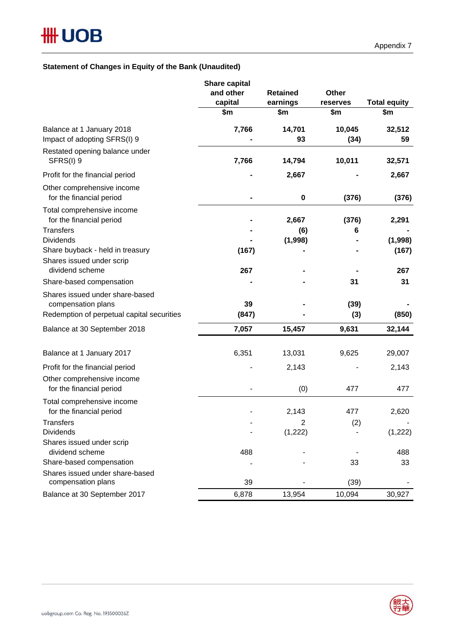### **Statement of Changes in Equity of the Bank (Unaudited)**

|                                                           | <b>Share capital</b> |                 |                |                     |  |
|-----------------------------------------------------------|----------------------|-----------------|----------------|---------------------|--|
|                                                           | and other            | <b>Retained</b> | Other          |                     |  |
|                                                           | capital              | earnings        | reserves       | <b>Total equity</b> |  |
|                                                           | \$m                  | \$m             | \$m            | \$m                 |  |
| Balance at 1 January 2018<br>Impact of adopting SFRS(I) 9 | 7,766                | 14,701<br>93    | 10,045<br>(34) | 32,512<br>59        |  |
| Restated opening balance under<br>SFRS(I) 9               | 7,766                | 14,794          | 10,011         | 32,571              |  |
| Profit for the financial period                           |                      | 2,667           |                | 2,667               |  |
| Other comprehensive income<br>for the financial period    |                      | $\bf{0}$        | (376)          | (376)               |  |
| Total comprehensive income<br>for the financial period    |                      | 2,667           | (376)          | 2,291               |  |
| Transfers                                                 |                      | (6)             | 6              |                     |  |
| <b>Dividends</b>                                          |                      | (1,998)         |                | (1,998)             |  |
| Share buyback - held in treasury                          | (167)                |                 |                | (167)               |  |
| Shares issued under scrip<br>dividend scheme              | 267                  |                 |                | 267                 |  |
| Share-based compensation                                  |                      |                 | 31             | 31                  |  |
| Shares issued under share-based                           |                      |                 |                |                     |  |
| compensation plans                                        | 39                   |                 | (39)           |                     |  |
| Redemption of perpetual capital securities                | (847)                |                 | (3)            | (850)               |  |
| Balance at 30 September 2018                              | 7,057                | 15,457          | 9,631          | 32,144              |  |
| Balance at 1 January 2017                                 | 6,351                | 13,031          | 9,625          | 29,007              |  |
| Profit for the financial period                           |                      | 2,143           |                | 2,143               |  |
| Other comprehensive income<br>for the financial period    |                      | (0)             | 477            | 477                 |  |
| Total comprehensive income                                |                      |                 |                |                     |  |
| for the financial period                                  |                      | 2,143           | 477            | 2,620               |  |
| Transfers                                                 |                      | 2               | (2)            |                     |  |
| <b>Dividends</b>                                          |                      | (1, 222)        |                | (1, 222)            |  |
| Shares issued under scrip                                 |                      |                 |                |                     |  |
| dividend scheme                                           | 488                  |                 |                | 488                 |  |
| Share-based compensation                                  |                      |                 | 33             | 33                  |  |
| Shares issued under share-based                           |                      |                 |                |                     |  |
| compensation plans                                        | 39                   |                 | (39)           |                     |  |
| Balance at 30 September 2017                              | 6,878                | 13,954          | 10,094         | 30,927              |  |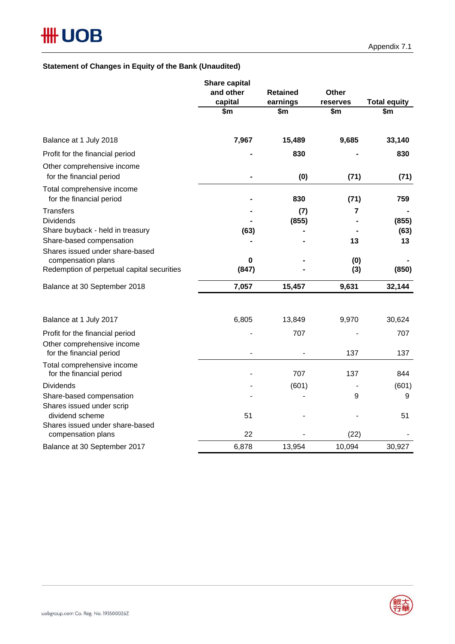## **Statement of Changes in Equity of the Bank (Unaudited)**

|                                                                                                 | <b>Share capital</b><br>and other | <b>Retained</b> | Other           |                            |
|-------------------------------------------------------------------------------------------------|-----------------------------------|-----------------|-----------------|----------------------------|
|                                                                                                 | capital<br>\$m                    | earnings<br>\$m | reserves<br>\$m | <b>Total equity</b><br>\$m |
| Balance at 1 July 2018                                                                          | 7,967                             | 15,489          | 9,685           | 33,140                     |
| Profit for the financial period                                                                 |                                   | 830             |                 | 830                        |
| Other comprehensive income<br>for the financial period                                          |                                   | (0)             | (71)            | (71)                       |
| Total comprehensive income<br>for the financial period                                          |                                   | 830             | (71)            | 759                        |
| <b>Transfers</b><br><b>Dividends</b>                                                            |                                   | (7)<br>(855)    | $\overline{7}$  | (855)                      |
| Share buyback - held in treasury<br>Share-based compensation<br>Shares issued under share-based | (63)                              |                 | 13              | (63)<br>13                 |
| compensation plans<br>Redemption of perpetual capital securities                                | 0<br>(847)                        |                 | (0)<br>(3)      | (850)                      |
| Balance at 30 September 2018                                                                    | 7,057                             | 15,457          | 9,631           | 32,144                     |
| Balance at 1 July 2017                                                                          | 6,805                             | 13,849          | 9,970           | 30,624                     |
| Profit for the financial period                                                                 |                                   | 707             |                 | 707                        |
| Other comprehensive income<br>for the financial period                                          |                                   |                 | 137             | 137                        |
| Total comprehensive income<br>for the financial period                                          |                                   | 707             | 137             | 844                        |
| <b>Dividends</b>                                                                                |                                   | (601)           |                 | (601)                      |
| Share-based compensation<br>Shares issued under scrip                                           |                                   |                 | 9               | 9                          |
| dividend scheme<br>Shares issued under share-based                                              | 51                                |                 |                 | 51                         |
| compensation plans                                                                              | 22                                |                 | (22)            |                            |
| Balance at 30 September 2017                                                                    | 6,878                             | 13,954          | 10,094          | 30,927                     |